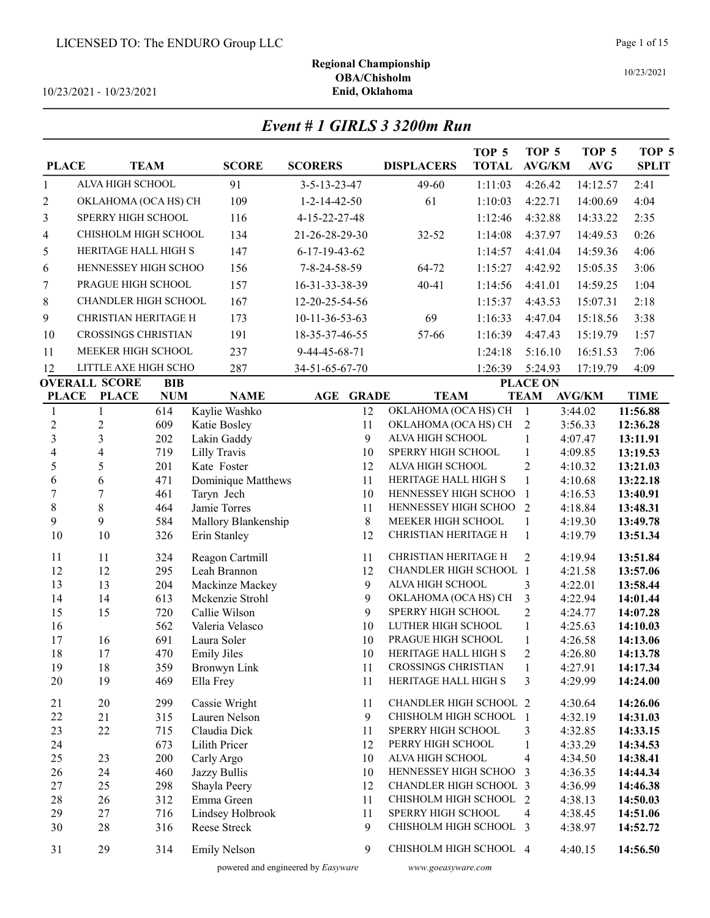10/23/2021 - 10/23/2021

| Event # 1 GIRLS 3 3200m Run |  |
|-----------------------------|--|
|                             |  |

| <b>PLACE</b>                   | <b>TEAM</b>                    |            | <b>SCORE</b>                     | <b>SCORERS</b>         | <b>DISPLACERS</b>                                  | TOP <sub>5</sub><br><b>TOTAL</b> | TOP <sub>5</sub><br><b>AVG/KM</b> | TOP <sub>5</sub><br><b>AVG</b> | TOP <sub>5</sub><br><b>SPLIT</b> |
|--------------------------------|--------------------------------|------------|----------------------------------|------------------------|----------------------------------------------------|----------------------------------|-----------------------------------|--------------------------------|----------------------------------|
| 1                              | ALVA HIGH SCHOOL               |            | 91                               | 3-5-13-23-47           | 49-60                                              | 1:11:03                          | 4:26.42                           | 14:12.57                       | 2:41                             |
| $\overline{c}$                 | OKLAHOMA (OCA HS) CH           |            | 109                              | $1 - 2 - 14 - 42 - 50$ | 61                                                 | 1:10:03                          | 4:22.71                           | 14:00.69                       | 4:04                             |
| 3                              | <b>SPERRY HIGH SCHOOL</b>      |            | 116                              | 4-15-22-27-48          |                                                    | 1:12:46                          | 4:32.88                           | 14:33.22                       | 2:35                             |
| 4                              | CHISHOLM HIGH SCHOOL           |            | 134                              | 21-26-28-29-30         | $32 - 52$                                          | 1:14:08                          | 4:37.97                           | 14:49.53                       | 0:26                             |
| 5                              | HERITAGE HALL HIGH S           |            | 147                              | 6-17-19-43-62          |                                                    | 1:14:57                          | 4:41.04                           | 14:59.36                       | 4:06                             |
| 6                              | HENNESSEY HIGH SCHOO           |            | 156                              | 7-8-24-58-59           | 64-72                                              | 1:15:27                          | 4:42.92                           | 15:05.35                       | 3:06                             |
| 7                              | PRAGUE HIGH SCHOOL             |            | 157                              | 16-31-33-38-39         | $40 - 41$                                          | 1:14:56                          | 4:41.01                           | 14:59.25                       | 1:04                             |
|                                | CHANDLER HIGH SCHOOL           |            | 167                              | 12-20-25-54-56         |                                                    | 1:15:37                          | 4:43.53                           | 15:07.31                       | 2:18                             |
| 8                              |                                |            |                                  |                        |                                                    |                                  |                                   |                                |                                  |
| 9                              | CHRISTIAN HERITAGE H           |            | 173                              | $10-11-36-53-63$       | 69                                                 | 1:16:33                          | 4:47.04                           | 15:18.56                       | 3:38                             |
| 10                             | <b>CROSSINGS CHRISTIAN</b>     |            | 191                              | 18-35-37-46-55         | 57-66                                              | 1:16:39                          | 4:47.43                           | 15:19.79                       | 1:57                             |
| 11                             | MEEKER HIGH SCHOOL             |            | 237                              | 9-44-45-68-71          |                                                    | 1:24:18                          | 5:16.10                           | 16:51.53                       | 7:06                             |
| 12                             | LITTLE AXE HIGH SCHO           |            | 287                              | 34-51-65-67-70         |                                                    | 1:26:39                          | 5:24.93                           | 17:19.79                       | 4:09                             |
|                                | <b>OVERALL SCORE</b>           | <b>BIB</b> |                                  |                        |                                                    |                                  | <b>PLACE ON</b>                   |                                |                                  |
| <b>PLACE</b>                   | <b>PLACE</b>                   | <b>NUM</b> | <b>NAME</b>                      | AGE<br><b>GRADE</b>    | <b>TEAM</b>                                        |                                  | <b>TEAM</b>                       | <b>AVG/KM</b>                  | <b>TIME</b>                      |
| $\mathbf{1}$<br>$\overline{c}$ | $\mathbf{1}$<br>$\overline{c}$ | 614<br>609 | Kaylie Washko<br>Katie Bosley    | 12<br>11               | OKLAHOMA (OCA HS) CH<br>OKLAHOMA (OCA HS) CH       |                                  | $\mathbf{1}$<br>$\overline{2}$    | 3:44.02<br>3:56.33             | 11:56.88<br>12:36.28             |
| $\overline{\mathbf{3}}$        | $\overline{3}$                 | 202        | Lakin Gaddy                      | 9                      | ALVA HIGH SCHOOL                                   |                                  | 1                                 | 4:07.47                        | 13:11.91                         |
| $\overline{\mathcal{L}}$       | $\overline{4}$                 | 719        | Lilly Travis                     | 10                     | SPERRY HIGH SCHOOL                                 |                                  | $\mathbf{1}$                      | 4:09.85                        | 13:19.53                         |
| 5                              | 5                              | 201        | Kate Foster                      | 12                     | ALVA HIGH SCHOOL                                   |                                  | $\overline{c}$                    | 4:10.32                        | 13:21.03                         |
| 6                              | 6                              | 471        | Dominique Matthews               | 11                     | HERITAGE HALL HIGH S                               |                                  | $\mathbf{1}$                      | 4:10.68                        | 13:22.18                         |
| $\overline{7}$                 | 7                              | 461        | Taryn Jech                       | 10                     | HENNESSEY HIGH SCHOO                               |                                  | $\mathbf{1}$                      | 4:16.53                        | 13:40.91                         |
| $\,8\,$                        | $8\,$                          | 464        | Jamie Torres                     | 11                     | HENNESSEY HIGH SCHOO                               |                                  | $\overline{2}$                    | 4:18.84                        | 13:48.31                         |
| 9                              | 9                              | 584        | Mallory Blankenship              | 8                      | MEEKER HIGH SCHOOL                                 |                                  | $\mathbf{1}$                      | 4:19.30                        | 13:49.78                         |
| 10                             | $10\,$                         | 326        | Erin Stanley                     | 12                     | CHRISTIAN HERITAGE H                               |                                  | $\mathbf{1}$                      | 4:19.79                        | 13:51.34                         |
| 11                             | 11                             | 324        | Reagon Cartmill                  | 11                     | CHRISTIAN HERITAGE H                               |                                  | 2                                 | 4:19.94                        | 13:51.84                         |
| 12                             | 12                             | 295        | Leah Brannon                     | 12                     | <b>CHANDLER HIGH SCHOOL 1</b>                      |                                  |                                   | 4:21.58                        | 13:57.06                         |
| 13                             | 13                             | 204        | Mackinze Mackey                  | 9                      | ALVA HIGH SCHOOL                                   |                                  | 3                                 | 4:22.01                        | 13:58.44                         |
| 14                             | 14                             | 613        | Mckenzie Strohl                  | 9                      | OKLAHOMA (OCA HS) CH                               |                                  | 3                                 | 4:22.94                        | 14:01.44                         |
| 15                             | 15                             | 720        | Callie Wilson                    | 9                      | SPERRY HIGH SCHOOL                                 |                                  | $\overline{c}$                    | 4:24.77                        | 14:07.28                         |
| 16                             |                                | 562        | Valeria Velasco                  | 10                     | LUTHER HIGH SCHOOL                                 |                                  | $\mathbf{1}$                      | 4:25.63                        | 14:10.03                         |
| 17                             | 16                             | 691        | Laura Soler                      | 10                     | PRAGUE HIGH SCHOOL                                 |                                  | $\mathbf{1}$                      | 4:26.58                        | 14:13.06                         |
| 18                             | 17                             | 470        | <b>Emily Jiles</b>               | 10                     | HERITAGE HALL HIGH S                               |                                  | $\overline{2}$                    | 4:26.80                        | 14:13.78                         |
| 19<br>20                       | 18<br>19                       | 359<br>469 | <b>Bronwyn Link</b><br>Ella Frey | 11<br>11               | <b>CROSSINGS CHRISTIAN</b><br>HERITAGE HALL HIGH S |                                  | $\mathbf{1}$<br>3                 | 4:27.91<br>4:29.99             | 14:17.34<br>14:24.00             |
|                                |                                |            |                                  |                        |                                                    |                                  |                                   |                                |                                  |
| 21                             | 20                             | 299        | Cassie Wright                    | 11                     | <b>CHANDLER HIGH SCHOOL 2</b>                      |                                  |                                   | 4:30.64                        | 14:26.06                         |
| 22                             | 21                             | 315        | Lauren Nelson                    | 9                      | CHISHOLM HIGH SCHOOL                               |                                  | 1                                 | 4:32.19                        | 14:31.03                         |
| 23                             | 22                             | 715        | Claudia Dick                     | 11                     | SPERRY HIGH SCHOOL                                 |                                  | 3                                 | 4:32.85                        | 14:33.15                         |
| 24                             |                                | 673        | Lilith Pricer                    | 12                     | PERRY HIGH SCHOOL                                  |                                  | 1                                 | 4:33.29                        | 14:34.53                         |
| 25                             | 23                             | 200        | Carly Argo                       | 10                     | ALVA HIGH SCHOOL                                   |                                  | 4                                 | 4:34.50                        | 14:38.41                         |
| 26                             | 24                             | 460        | Jazzy Bullis                     | 10                     | HENNESSEY HIGH SCHOO                               |                                  | 3                                 | 4:36.35                        | 14:44.34                         |
| 27                             | 25                             | 298        | Shayla Peery                     | 12                     | CHANDLER HIGH SCHOOL 3                             |                                  |                                   | 4:36.99                        | 14:46.38                         |
| 28                             | 26                             | 312        | Emma Green                       | 11                     | CHISHOLM HIGH SCHOOL                               |                                  | 2                                 | 4:38.13                        | 14:50.03                         |
| 29<br>30                       | 27<br>28                       | 716<br>316 | Lindsey Holbrook<br>Reese Streck | 11<br>9                | SPERRY HIGH SCHOOL<br>CHISHOLM HIGH SCHOOL 3       |                                  | 4                                 | 4:38.45                        | 14:51.06                         |
|                                |                                |            |                                  |                        |                                                    |                                  |                                   | 4:38.97                        | 14:52.72                         |
| 31                             | 29                             | 314        | <b>Emily Nelson</b>              | 9                      | CHISHOLM HIGH SCHOOL 4                             |                                  |                                   | 4:40.15                        | 14:56.50                         |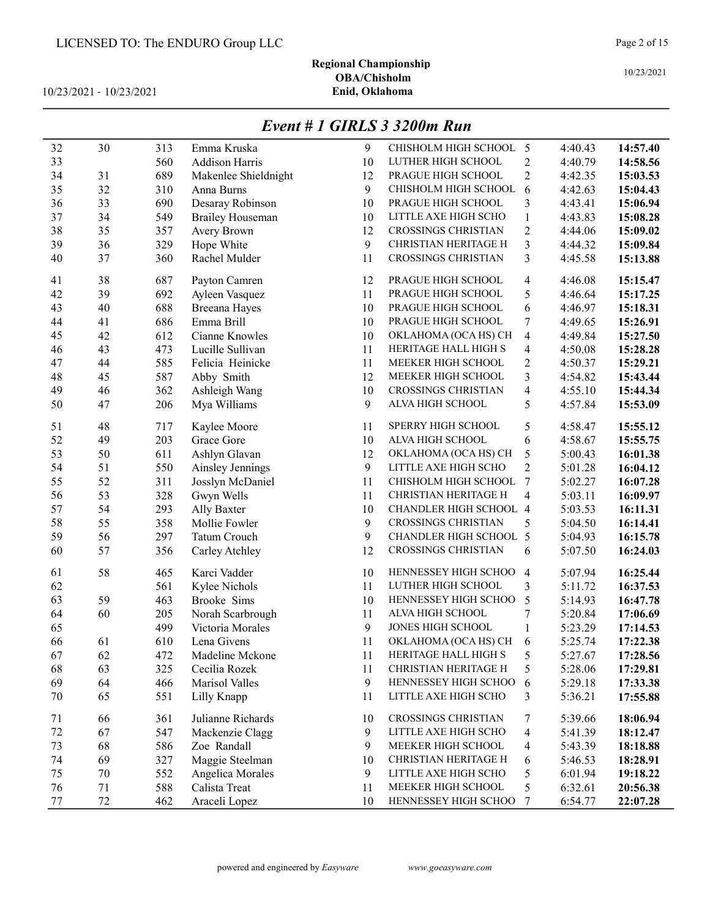# Regional Championship OBA/Chisholm<br>Enid, Oklahoma

10/23/2021 - 10/23/2021

|         |        |     |                         |    | Little T 1 J1RLD 9 92001 Run |                         |         |          |
|---------|--------|-----|-------------------------|----|------------------------------|-------------------------|---------|----------|
| 32      | 30     | 313 | Emma Kruska             | 9  | CHISHOLM HIGH SCHOOL 5       |                         | 4:40.43 | 14:57.40 |
| 33      |        | 560 | Addison Harris          | 10 | LUTHER HIGH SCHOOL           | $\overline{c}$          | 4:40.79 | 14:58.56 |
| 34      | 31     | 689 | Makenlee Shieldnight    | 12 | PRAGUE HIGH SCHOOL           | $\overline{2}$          | 4:42.35 | 15:03.53 |
| 35      | 32     | 310 | Anna Burns              | 9  | CHISHOLM HIGH SCHOOL         | 6                       | 4:42.63 | 15:04.43 |
| 36      | 33     | 690 | Desaray Robinson        | 10 | PRAGUE HIGH SCHOOL           | 3                       | 4:43.41 | 15:06.94 |
| 37      | 34     | 549 | <b>Brailey Houseman</b> | 10 | LITTLE AXE HIGH SCHO         | $\mathbf{1}$            | 4:43.83 | 15:08.28 |
| 38      | 35     | 357 | Avery Brown             | 12 | <b>CROSSINGS CHRISTIAN</b>   | $\overline{c}$          | 4:44.06 | 15:09.02 |
| 39      | 36     | 329 | Hope White              | 9  | CHRISTIAN HERITAGE H         | $\overline{\mathbf{3}}$ | 4:44.32 | 15:09.84 |
| 40      | 37     | 360 | Rachel Mulder           | 11 | <b>CROSSINGS CHRISTIAN</b>   | 3                       | 4:45.58 | 15:13.88 |
| 41      | 38     | 687 | Payton Camren           | 12 | PRAGUE HIGH SCHOOL           | 4                       | 4:46.08 | 15:15.47 |
| 42      | 39     | 692 | Ayleen Vasquez          | 11 | PRAGUE HIGH SCHOOL           | 5                       | 4:46.64 | 15:17.25 |
| 43      | 40     | 688 | Breeana Hayes           | 10 | PRAGUE HIGH SCHOOL           | 6                       | 4:46.97 | 15:18.31 |
| 44      | 41     | 686 | Emma Brill              | 10 | PRAGUE HIGH SCHOOL           | 7                       | 4:49.65 | 15:26.91 |
| 45      | 42     | 612 | Cianne Knowles          | 10 | OKLAHOMA (OCA HS) CH         | 4                       | 4:49.84 | 15:27.50 |
| 46      | 43     | 473 | Lucille Sullivan        | 11 | HERITAGE HALL HIGH S         | 4                       | 4:50.08 | 15:28.28 |
| 47      | 44     | 585 | Felicia Heinicke        | 11 | MEEKER HIGH SCHOOL           | $\overline{c}$          | 4:50.37 | 15:29.21 |
| 48      | 45     | 587 | Abby Smith              | 12 | MEEKER HIGH SCHOOL           | 3                       | 4:54.82 | 15:43.44 |
| 49      | 46     | 362 | Ashleigh Wang           | 10 | <b>CROSSINGS CHRISTIAN</b>   | 4                       | 4:55.10 | 15:44.34 |
| 50      | 47     | 206 | Mya Williams            | 9  | ALVA HIGH SCHOOL             | 5                       | 4:57.84 | 15:53.09 |
| 51      | 48     | 717 | Kaylee Moore            | 11 | SPERRY HIGH SCHOOL           | 5                       | 4:58.47 | 15:55.12 |
| 52      | 49     | 203 | Grace Gore              | 10 | ALVA HIGH SCHOOL             | 6                       | 4:58.67 | 15:55.75 |
| 53      | 50     | 611 | Ashlyn Glavan           | 12 | OKLAHOMA (OCA HS) CH         | 5                       | 5:00.43 | 16:01.38 |
| 54      | 51     | 550 | Ainsley Jennings        | 9  | LITTLE AXE HIGH SCHO         | $\overline{2}$          | 5:01.28 | 16:04.12 |
| 55      | 52     | 311 | Josslyn McDaniel        | 11 | CHISHOLM HIGH SCHOOL         | 7                       | 5:02.27 | 16:07.28 |
| 56      | 53     | 328 | Gwyn Wells              | 11 | CHRISTIAN HERITAGE H         | 4                       | 5:03.11 | 16:09.97 |
| 57      | 54     | 293 | Ally Baxter             | 10 | CHANDLER HIGH SCHOOL 4       |                         | 5:03.53 | 16:11.31 |
| 58      | 55     | 358 | Mollie Fowler           | 9  | <b>CROSSINGS CHRISTIAN</b>   | 5                       | 5:04.50 | 16:14.41 |
| 59      | 56     | 297 | Tatum Crouch            | 9  | CHANDLER HIGH SCHOOL 5       |                         | 5:04.93 | 16:15.78 |
| 60      | 57     | 356 | Carley Atchley          | 12 | <b>CROSSINGS CHRISTIAN</b>   | 6                       | 5:07.50 | 16:24.03 |
| 61      | 58     | 465 | Karci Vadder            | 10 | HENNESSEY HIGH SCHOO         | $\overline{4}$          | 5:07.94 | 16:25.44 |
| 62      |        | 561 | Kylee Nichols           | 11 | LUTHER HIGH SCHOOL           | 3                       | 5:11.72 | 16:37.53 |
| 63      | 59     | 463 | Brooke Sims             | 10 | HENNESSEY HIGH SCHOO         | 5                       | 5:14.93 | 16:47.78 |
| 64      | 60     | 205 | Norah Scarbrough        | 11 | ALVA HIGH SCHOOL             | 7                       | 5:20.84 | 17:06.69 |
| 65      |        | 499 | Victoria Morales        | 9  | JONES HIGH SCHOOL            | $\mathbf{1}$            | 5:23.29 | 17:14.53 |
| 66      | 61     | 610 | Lena Givens             | 11 | OKLAHOMA (OCA HS) CH         | 6                       | 5:25.74 | 17:22.38 |
| 67      | 62     | 472 | Madeline Mckone         | 11 | HERITAGE HALL HIGH S         | 5                       | 5:27.67 | 17:28.56 |
| 68      | 63     | 325 | Cecilia Rozek           | 11 | <b>CHRISTIAN HERITAGE H</b>  | 5                       | 5:28.06 | 17:29.81 |
| 69      | 64     | 466 | Marisol Valles          | 9  | HENNESSEY HIGH SCHOO         | 6                       | 5:29.18 | 17:33.38 |
| 70      | 65     | 551 | Lilly Knapp             | 11 | LITTLE AXE HIGH SCHO         | 3                       | 5:36.21 | 17:55.88 |
| 71      | 66     | 361 | Julianne Richards       | 10 | <b>CROSSINGS CHRISTIAN</b>   | 7                       | 5:39.66 | 18:06.94 |
| 72      | 67     | 547 | Mackenzie Clagg         | 9  | LITTLE AXE HIGH SCHO         | 4                       | 5:41.39 | 18:12.47 |
| 73      | 68     | 586 | Zoe Randall             | 9  | MEEKER HIGH SCHOOL           | 4                       | 5:43.39 | 18:18.88 |
| 74      | 69     | 327 | Maggie Steelman         | 10 | CHRISTIAN HERITAGE H         | 6                       | 5:46.53 | 18:28.91 |
| 75      | 70     | 552 | Angelica Morales        | 9  | LITTLE AXE HIGH SCHO         | 5                       | 6:01.94 | 19:18.22 |
| 76      | 71     | 588 | Calista Treat           | 11 | MEEKER HIGH SCHOOL           | 5                       | 6:32.61 | 20:56.38 |
| $77 \,$ | $72\,$ | 462 | Araceli Lopez           | 10 | HENNESSEY HIGH SCHOO         | 7                       | 6:54.77 | 22:07.28 |

### Event # 1 GIRLS 3 3200m Run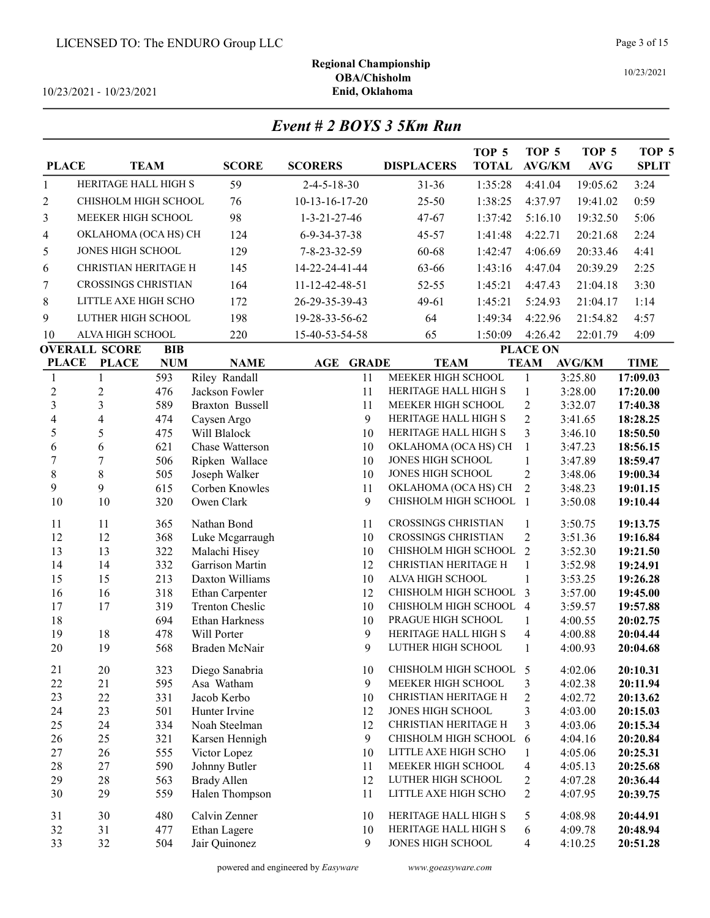10/23/2021 - 10/23/2021

| Event # 2 BOYS 3 5Km Run |  |
|--------------------------|--|
|--------------------------|--|

| <b>PLACE</b>     | <b>TEAM</b>                |            | <b>SCORE</b>           | <b>SCORERS</b>                 | <b>DISPLACERS</b>          | TOP <sub>5</sub><br><b>TOTAL</b> | TOP 5<br><b>AVG/KM</b>   | TOP <sub>5</sub><br><b>AVG</b> | TOP 5<br><b>SPLIT</b> |
|------------------|----------------------------|------------|------------------------|--------------------------------|----------------------------|----------------------------------|--------------------------|--------------------------------|-----------------------|
| 1                | HERITAGE HALL HIGH S       |            | 59                     | $2 - 4 - 5 - 18 - 30$          | $31 - 36$                  | 1:35:28                          | 4:41.04                  | 19:05.62                       | 3:24                  |
| $\boldsymbol{2}$ | CHISHOLM HIGH SCHOOL       |            | 76                     | $10-13-16-17-20$               | $25 - 50$                  | 1:38:25                          | 4:37.97                  | 19:41.02                       | 0:59                  |
| 3                | MEEKER HIGH SCHOOL         |            | 98                     | $1 - 3 - 21 - 27 - 46$         | 47-67                      | 1:37:42                          | 5:16.10                  | 19:32.50                       | 5:06                  |
| 4                | OKLAHOMA (OCA HS) CH       |            | 124                    | 6-9-34-37-38                   | 45-57                      | 1:41:48                          | 4:22.71                  | 20:21.68                       | 2:24                  |
|                  |                            |            |                        |                                |                            |                                  |                          |                                |                       |
| 5                | JONES HIGH SCHOOL          |            | 129                    | 7-8-23-32-59                   | 60-68                      | 1:42:47                          | 4:06.69                  | 20:33.46                       | 4:41                  |
| 6                | CHRISTIAN HERITAGE H       |            | 145                    | 14-22-24-41-44                 | 63-66                      | 1:43:16                          | 4:47.04                  | 20:39.29                       | 2:25                  |
| $\sqrt{ }$       | <b>CROSSINGS CHRISTIAN</b> |            | 164                    | 11-12-42-48-51                 | 52-55                      | 1:45:21                          | 4:47.43                  | 21:04.18                       | 3:30                  |
| 8                | LITTLE AXE HIGH SCHO       |            | 172                    | 26-29-35-39-43                 | $49 - 61$                  | 1:45:21                          | 5:24.93                  | 21:04.17                       | 1:14                  |
| 9                | LUTHER HIGH SCHOOL         |            | 198                    | 19-28-33-56-62                 | 64                         | 1:49:34                          | 4:22.96                  | 21:54.82                       | 4:57                  |
| 10               | ALVA HIGH SCHOOL           |            | 220                    | 15-40-53-54-58                 | 65                         | 1:50:09                          | 4:26.42                  | 22:01.79                       | 4:09                  |
|                  | <b>OVERALL SCORE</b>       | <b>BIB</b> |                        |                                |                            |                                  | <b>PLACE ON</b>          |                                |                       |
| <b>PLACE</b>     | <b>PLACE</b>               | <b>NUM</b> | <b>NAME</b>            | <b>GRADE</b><br>$\mathbf{AGE}$ | <b>TEAM</b>                |                                  | <b>TEAM</b>              | <b>AVG/KM</b>                  | <b>TIME</b>           |
| $\mathbf{1}$     | 1                          | 593        | Riley Randall          | 11                             | <b>MEEKER HIGH SCHOOL</b>  |                                  | $\mathbf{1}$             | 3:25.80                        | 17:09.03              |
| $\sqrt{2}$       | $\overline{c}$             | 476        | Jackson Fowler         | 11                             | HERITAGE HALL HIGH S       |                                  | $\mathbf{1}$             | 3:28.00                        | 17:20.00              |
| 3                | $\overline{3}$             | 589        | <b>Braxton Bussell</b> | 11                             | MEEKER HIGH SCHOOL         |                                  | $\overline{c}$           | 3:32.07                        | 17:40.38              |
| $\overline{4}$   | $\overline{4}$             | 474        | Caysen Argo            | 9                              | HERITAGE HALL HIGH S       |                                  | $\overline{2}$           | 3:41.65                        | 18:28.25              |
| 5                | 5                          | 475        | Will Blalock           | 10                             | HERITAGE HALL HIGH S       |                                  | 3                        | 3:46.10                        | 18:50.50              |
| 6                | 6                          | 621        | Chase Watterson        | 10                             | OKLAHOMA (OCA HS) CH       |                                  | $\mathbf{1}$             | 3:47.23                        | 18:56.15              |
| $\overline{7}$   | $\sqrt{ }$                 | 506        | Ripken Wallace         | 10                             | JONES HIGH SCHOOL          |                                  | $\mathbf{1}$             | 3:47.89                        | 18:59.47              |
| 8                | $8\,$                      | 505        | Joseph Walker          | 10                             | JONES HIGH SCHOOL          |                                  | $\overline{2}$           | 3:48.06                        | 19:00.34              |
| 9                | 9                          | 615        | Corben Knowles         | 11                             | OKLAHOMA (OCA HS) CH       |                                  | $\overline{2}$           | 3:48.23                        | 19:01.15              |
| 10               | 10                         | 320        | Owen Clark             | 9                              | CHISHOLM HIGH SCHOOL       |                                  | $\overline{1}$           | 3:50.08                        | 19:10.44              |
| 11               | 11                         | 365        | Nathan Bond            | 11                             | <b>CROSSINGS CHRISTIAN</b> |                                  | 1                        | 3:50.75                        | 19:13.75              |
| 12               | 12                         | 368        | Luke Mcgarraugh        | 10                             | <b>CROSSINGS CHRISTIAN</b> |                                  | $\overline{2}$           | 3:51.36                        | 19:16.84              |
| 13               | 13                         | 322        | Malachi Hisey          | 10                             | CHISHOLM HIGH SCHOOL       |                                  | $\overline{2}$           | 3:52.30                        | 19:21.50              |
| 14               | 14                         | 332        | Garrison Martin        | 12                             | CHRISTIAN HERITAGE H       |                                  | $\mathbf{1}$             | 3:52.98                        | 19:24.91              |
| 15               | 15                         | 213        | Daxton Williams        | 10                             | ALVA HIGH SCHOOL           |                                  | $\mathbf{1}$             | 3:53.25                        | 19:26.28              |
| 16               | 16                         | 318        | Ethan Carpenter        | 12                             | CHISHOLM HIGH SCHOOL       |                                  | 3                        | 3:57.00                        | 19:45.00              |
| 17               | 17                         | 319        | <b>Trenton Cheslic</b> | 10                             | CHISHOLM HIGH SCHOOL       |                                  | $\overline{4}$           | 3:59.57                        | 19:57.88              |
| 18               |                            | 694        | Ethan Harkness         | 10                             | PRAGUE HIGH SCHOOL         |                                  | 1                        | 4:00.55                        | 20:02.75              |
| 19               | 18                         | 478        | Will Porter            | 9                              | HERITAGE HALL HIGH S       |                                  | 4                        | 4:00.88                        | 20:04.44              |
| 20               | 19                         | 568        | Braden McNair          | 9                              | LUTHER HIGH SCHOOL         |                                  | $\mathbf{1}$             | 4:00.93                        | 20:04.68              |
| 21               | $20\,$                     | 323        | Diego Sanabria         | 10                             | CHISHOLM HIGH SCHOOL 5     |                                  |                          | 4:02.06                        | 20:10.31              |
| 22               | 21                         | 595        | Asa Watham             | 9                              | MEEKER HIGH SCHOOL         |                                  | 3                        | 4:02.38                        | 20:11.94              |
| 23               | 22                         | 331        | Jacob Kerbo            | 10                             | CHRISTIAN HERITAGE H       |                                  | $\overline{c}$           | 4:02.72                        | 20:13.62              |
| 24               | 23                         | 501        | Hunter Irvine          | 12                             | JONES HIGH SCHOOL          |                                  | 3                        | 4:03.00                        | 20:15.03              |
| 25               | 24                         | 334        | Noah Steelman          | 12                             | CHRISTIAN HERITAGE H       |                                  | 3                        | 4:03.06                        | 20:15.34              |
| 26               | 25                         | 321        | Karsen Hennigh         | 9                              | CHISHOLM HIGH SCHOOL       |                                  | 6                        | 4:04.16                        | 20:20.84              |
| 27               | 26                         | 555        | Victor Lopez           | 10                             | LITTLE AXE HIGH SCHO       |                                  | 1                        | 4:05.06                        | 20:25.31              |
| 28               | 27                         | 590        | Johnny Butler          | 11                             | MEEKER HIGH SCHOOL         |                                  | $\overline{\mathcal{A}}$ | 4:05.13                        | 20:25.68              |
| 29               | 28                         | 563        | <b>Brady Allen</b>     | 12                             | LUTHER HIGH SCHOOL         |                                  | $\overline{c}$           | 4:07.28                        | 20:36.44              |
| $30\,$           | 29                         | 559        | Halen Thompson         | 11                             | LITTLE AXE HIGH SCHO       |                                  | $\overline{c}$           | 4:07.95                        | 20:39.75              |
| 31               | 30                         | 480        | Calvin Zenner          | 10                             | HERITAGE HALL HIGH S       |                                  | 5                        | 4:08.98                        | 20:44.91              |
| 32               | 31                         | 477        | Ethan Lagere           | 10                             | HERITAGE HALL HIGH S       |                                  | 6                        | 4:09.78                        | 20:48.94              |
| 33               | 32                         | 504        | Jair Quinonez          | 9                              | JONES HIGH SCHOOL          |                                  | 4                        | 4:10.25                        | 20:51.28              |
|                  |                            |            |                        |                                |                            |                                  |                          |                                |                       |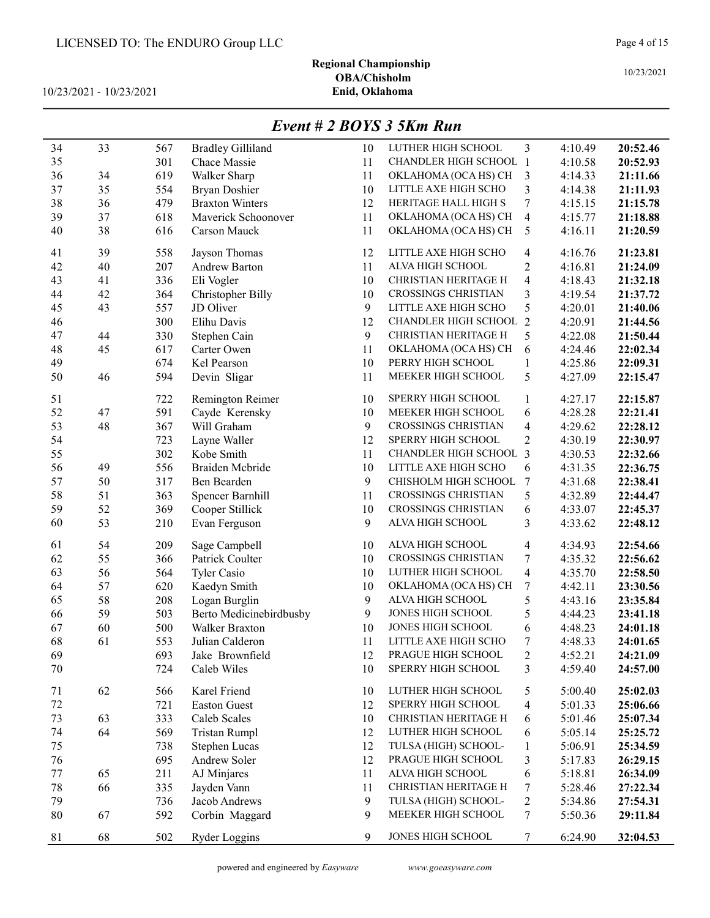# Regional Championship OBA/Chisholm<br>Enid, Oklahoma

10/23/2021 - 10/23/2021

# Event # 2 BOYS 3 5Km Run

| 34       | 33 | 567        | <b>Bradley Gilliland</b>      | 10       | LUTHER HIGH SCHOOL                         | 3                        | 4:10.49            | 20:52.46 |
|----------|----|------------|-------------------------------|----------|--------------------------------------------|--------------------------|--------------------|----------|
| 35       |    | 301        | Chace Massie                  | 11       | <b>CHANDLER HIGH SCHOOL 1</b>              |                          | 4:10.58            | 20:52.93 |
| 36       | 34 | 619        | Walker Sharp                  | 11       | OKLAHOMA (OCA HS) CH                       | 3                        | 4:14.33            | 21:11.66 |
| 37       | 35 | 554        | Bryan Doshier                 | 10       | LITTLE AXE HIGH SCHO                       | 3                        | 4:14.38            | 21:11.93 |
| 38       | 36 | 479        | <b>Braxton Winters</b>        | 12       | HERITAGE HALL HIGH S                       | $\tau$                   | 4:15.15            | 21:15.78 |
| 39       | 37 | 618        | Maverick Schoonover           | 11       | OKLAHOMA (OCA HS) CH                       | $\overline{\mathbf{4}}$  | 4:15.77            | 21:18.88 |
| 40       | 38 | 616        | Carson Mauck                  | 11       | OKLAHOMA (OCA HS) CH                       | 5                        | 4:16.11            | 21:20.59 |
|          |    |            |                               |          |                                            |                          |                    |          |
| 41       | 39 | 558        | Jayson Thomas                 | 12       | LITTLE AXE HIGH SCHO                       | 4                        | 4:16.76            | 21:23.81 |
| 42       | 40 | 207        | Andrew Barton                 | 11       | ALVA HIGH SCHOOL                           | $\overline{c}$           | 4:16.81            | 21:24.09 |
| 43       | 41 | 336        | Eli Vogler                    | 10       | CHRISTIAN HERITAGE H                       | $\overline{4}$           | 4:18.43            | 21:32.18 |
| 44       | 42 | 364        | Christopher Billy             | 10       | CROSSINGS CHRISTIAN                        | 3                        | 4:19.54            | 21:37.72 |
| 45       | 43 | 557        | JD Oliver                     | 9        | LITTLE AXE HIGH SCHO                       | 5                        | 4:20.01            | 21:40.06 |
| 46       |    | 300        | Elihu Davis                   | 12       | CHANDLER HIGH SCHOOL 2                     |                          | 4:20.91            | 21:44.56 |
| 47       | 44 | 330        | Stephen Cain                  | 9        | CHRISTIAN HERITAGE H                       | 5                        | 4:22.08            | 21:50.44 |
| 48       | 45 | 617        | Carter Owen                   | 11       | OKLAHOMA (OCA HS) CH                       | 6                        | 4:24.46            | 22:02.34 |
| 49       |    | 674        | Kel Pearson                   | 10       | PERRY HIGH SCHOOL                          | $\mathbf{1}$             | 4:25.86            | 22:09.31 |
| 50       | 46 | 594        | Devin Sligar                  | 11       | MEEKER HIGH SCHOOL                         | 5                        | 4:27.09            | 22:15.47 |
| 51       |    | 722        | Remington Reimer              | 10       | SPERRY HIGH SCHOOL                         | 1                        | 4:27.17            | 22:15.87 |
| 52       | 47 | 591        | Cayde Kerensky                | 10       | MEEKER HIGH SCHOOL                         | 6                        | 4:28.28            | 22:21.41 |
| 53       | 48 | 367        | Will Graham                   | 9        | <b>CROSSINGS CHRISTIAN</b>                 | $\overline{\mathbf{4}}$  | 4:29.62            | 22:28.12 |
| 54       |    | 723        | Layne Waller                  | 12       | SPERRY HIGH SCHOOL                         | $\overline{2}$           | 4:30.19            | 22:30.97 |
| 55       |    | 302        | Kobe Smith                    | 11       | CHANDLER HIGH SCHOOL                       | 3                        | 4:30.53            | 22:32.66 |
| 56       | 49 | 556        | Braiden Mcbride               | 10       | LITTLE AXE HIGH SCHO                       | 6                        | 4:31.35            | 22:36.75 |
| 57       | 50 | 317        | Ben Bearden                   | 9        | CHISHOLM HIGH SCHOOL                       | 7                        | 4:31.68            | 22:38.41 |
| 58       | 51 | 363        | Spencer Barnhill              | 11       | <b>CROSSINGS CHRISTIAN</b>                 | 5                        | 4:32.89            | 22:44.47 |
| 59       | 52 | 369        | Cooper Stillick               | 10       | <b>CROSSINGS CHRISTIAN</b>                 | 6                        | 4:33.07            | 22:45.37 |
| 60       | 53 | 210        | Evan Ferguson                 | 9        | ALVA HIGH SCHOOL                           | 3                        | 4:33.62            | 22:48.12 |
|          |    |            |                               |          |                                            |                          |                    |          |
| 61       | 54 | 209        | Sage Campbell                 | 10       | ALVA HIGH SCHOOL                           | 4                        | 4:34.93            | 22:54.66 |
| 62       | 55 | 366        | Patrick Coulter               | 10       | CROSSINGS CHRISTIAN                        | 7                        | 4:35.32            | 22:56.62 |
| 63       | 56 | 564        | <b>Tyler Casio</b>            | 10       | LUTHER HIGH SCHOOL                         | $\overline{4}$           | 4:35.70            | 22:58.50 |
| 64       | 57 | 620        | Kaedyn Smith                  | 10       | OKLAHOMA (OCA HS) CH                       | 7                        | 4:42.11            | 23:30.56 |
| 65       | 58 | 208        | Logan Burglin                 | 9        | ALVA HIGH SCHOOL                           | 5                        | 4:43.16            | 23:35.84 |
| 66       | 59 | 503        | Berto Medicinebirdbusby       | 9        | JONES HIGH SCHOOL                          | 5                        | 4:44.23            | 23:41.18 |
| 67       | 60 | 500        | Walker Braxton                | 10       | JONES HIGH SCHOOL                          | 6                        | 4:48.23            | 24:01.18 |
| 68       | 61 | 553        | Julian Calderon               | 11       | LITTLE AXE HIGH SCHO                       | 7                        | 4:48.33            | 24:01.65 |
| 69       |    | 693        | Jake Brownfield               | 12       | PRAGUE HIGH SCHOOL                         | $\overline{c}$           | 4:52.21            | 24:21.09 |
| 70       |    | 724        | Caleb Wiles                   | 10       | SPERRY HIGH SCHOOL                         | 3                        | 4:59.40            | 24:57.00 |
| 71       | 62 | 566        | Karel Friend                  | 10       | LUTHER HIGH SCHOOL                         |                          | 5:00.40            | 25:02.03 |
| $72\,$   |    |            | <b>Easton Guest</b>           | 12       | SPERRY HIGH SCHOOL                         | 5                        |                    |          |
| 73       | 63 | 721<br>333 | Caleb Scales                  | 10       | CHRISTIAN HERITAGE H                       | $\overline{\mathcal{A}}$ | 5:01.33<br>5:01.46 | 25:06.66 |
|          |    |            |                               |          | LUTHER HIGH SCHOOL                         | 6                        |                    | 25:07.34 |
| 74<br>75 | 64 | 569        | Tristan Rumpl                 | 12       | TULSA (HIGH) SCHOOL-                       | 6                        | 5:05.14            | 25:25.72 |
| 76       |    | 738        | Stephen Lucas<br>Andrew Soler | 12<br>12 | PRAGUE HIGH SCHOOL                         | $\mathbf{1}$             | 5:06.91            | 25:34.59 |
|          |    | 695        |                               |          | ALVA HIGH SCHOOL                           | $\mathfrak{Z}$           | 5:17.83            | 26:29.15 |
| $77 \,$  | 65 | 211        | AJ Minjares                   | 11       | CHRISTIAN HERITAGE H                       | 6                        | 5:18.81            | 26:34.09 |
| $78\,$   | 66 | 335        | Jayden Vann                   | 11       |                                            | 7                        | 5:28.46            | 27:22.34 |
| 79       |    | 736        | Jacob Andrews                 | 9        | TULSA (HIGH) SCHOOL-<br>MEEKER HIGH SCHOOL | $\overline{c}$           | 5:34.86            | 27:54.31 |
| $80\,$   | 67 | 592        | Corbin Maggard                | 9        |                                            | $\tau$                   | 5:50.36            | 29:11.84 |
| 81       | 68 | 502        | <b>Ryder Loggins</b>          | 9        | JONES HIGH SCHOOL                          | $\tau$                   | 6:24.90            | 32:04.53 |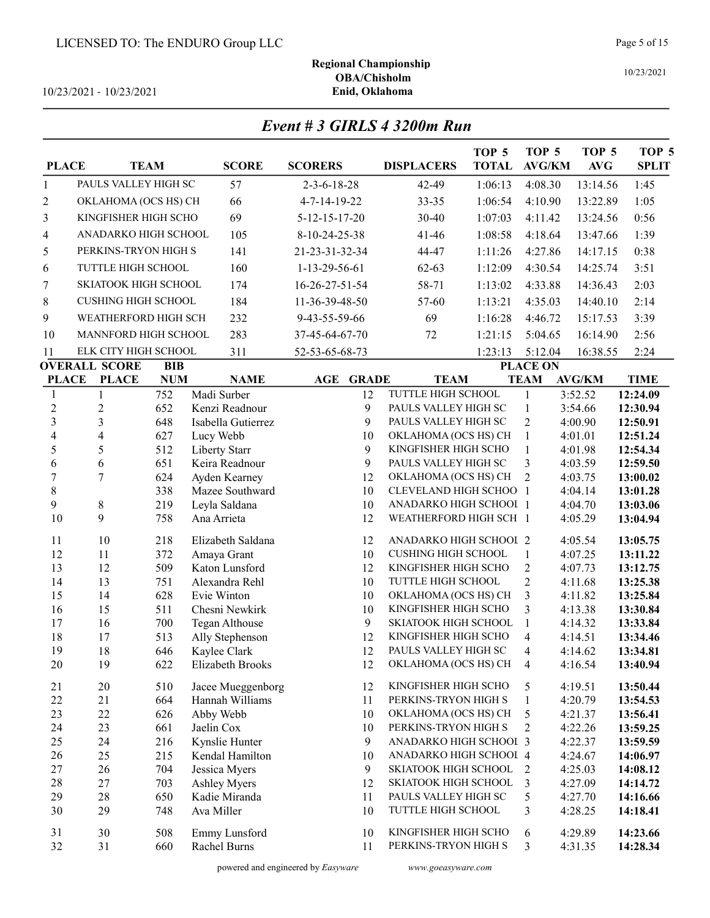10/23/2021 - 10/23/2021

#### 10/23/2021

Regional Championship OBA/Chisholm<br>Enid, Oklahoma

Event # 3 GIRLS 4 3200m Run

| <b>PLACE</b>     |                            | <b>TEAM</b> | <b>SCORE</b>                     | <b>SCORERS</b>                 | <b>DISPLACERS</b>                                | TOP <sub>5</sub><br><b>TOTAL</b> | TOP <sub>5</sub><br><b>AVG/KM</b> | TOP <sub>5</sub><br><b>AVG</b> | TOP <sub>5</sub><br><b>SPLIT</b> |
|------------------|----------------------------|-------------|----------------------------------|--------------------------------|--------------------------------------------------|----------------------------------|-----------------------------------|--------------------------------|----------------------------------|
| 1                | PAULS VALLEY HIGH SC       |             | 57                               | $2 - 3 - 6 - 18 - 28$          | 42-49                                            | 1:06:13                          | 4:08.30                           | 13:14.56                       | 1:45                             |
| $\overline{c}$   | OKLAHOMA (OCS HS) CH       |             | 66                               | 4-7-14-19-22                   | $33 - 35$                                        | 1:06:54                          | 4:10.90                           | 13:22.89                       | 1:05                             |
| 3                | KINGFISHER HIGH SCHO       |             | 69                               | $5 - 12 - 15 - 17 - 20$        | 30-40                                            | 1:07:03                          | 4:11.42                           | 13:24.56                       | 0:56                             |
| 4                | ANADARKO HIGH SCHOOL       |             | 105                              | 8-10-24-25-38                  | $41 - 46$                                        | 1:08:58                          | 4:18.64                           | 13:47.66                       | 1:39                             |
| 5                | PERKINS-TRYON HIGH S       |             | 141                              | 21-23-31-32-34                 | 44-47                                            | 1:11:26                          | 4:27.86                           | 14:17.15                       | 0:38                             |
| 6                | TUTTLE HIGH SCHOOL         |             | 160                              | 1-13-29-56-61                  | $62 - 63$                                        | 1:12:09                          | 4:30.54                           | 14:25.74                       | 3:51                             |
| $\sqrt{ }$       | SKIATOOK HIGH SCHOOL       |             | 174                              | $16 - 26 - 27 - 51 - 54$       | 58-71                                            | 1:13:02                          | 4:33.88                           | 14:36.43                       | 2:03                             |
| 8                | <b>CUSHING HIGH SCHOOL</b> |             | 184                              | 11-36-39-48-50                 | 57-60                                            | 1:13:21                          | 4:35.03                           | 14:40.10                       | 2:14                             |
| 9                | WEATHERFORD HIGH SCH       |             | 232                              | 9-43-55-59-66                  | 69                                               | 1:16:28                          | 4:46.72                           | 15:17.53                       | 3:39                             |
| 10               | MANNFORD HIGH SCHOOL       |             | 283                              | 37-45-64-67-70                 | 72                                               | 1:21:15                          | 5:04.65                           | 16:14.90                       | 2:56                             |
| 11               | ELK CITY HIGH SCHOOL       |             | 311                              | 52-53-65-68-73                 |                                                  | 1:23:13                          | 5:12.04                           | 16:38.55                       | 2:24                             |
|                  | <b>OVERALL SCORE</b>       | <b>BIB</b>  |                                  |                                |                                                  |                                  | <b>PLACE ON</b>                   |                                |                                  |
| <b>PLACE</b>     | <b>PLACE</b>               | <b>NUM</b>  | <b>NAME</b>                      | <b>GRADE</b><br>$\mathbf{AGE}$ | <b>TEAM</b>                                      |                                  | <b>TEAM</b>                       | <b>AVG/KM</b>                  | <b>TIME</b>                      |
| 1                | 1                          | 752         | Madi Surber                      | 12                             | TUTTLE HIGH SCHOOL                               |                                  | 1                                 | 3:52.52                        | 12:24.09                         |
| $\overline{c}$   | $\overline{c}$             | 652         | Kenzi Readnour                   | 9                              | PAULS VALLEY HIGH SC                             |                                  | $\mathbf{1}$                      | 3:54.66                        | 12:30.94                         |
| 3                | 3                          | 648         | Isabella Gutierrez               | 9                              | PAULS VALLEY HIGH SC                             |                                  | $\overline{2}$                    | 4:00.90                        | 12:50.91                         |
| 4                | $\overline{4}$             | 627         | Lucy Webb                        | 10                             | OKLAHOMA (OCS HS) CH                             |                                  | $\mathbf{1}$                      | 4:01.01                        | 12:51.24                         |
| 5                | 5                          | 512         | Liberty Starr                    | 9                              | KINGFISHER HIGH SCHO                             |                                  | $\mathbf{1}$                      | 4:01.98                        | 12:54.34                         |
| 6                | 6                          | 651         | Keira Readnour                   | 9                              | PAULS VALLEY HIGH SC                             |                                  | 3                                 | 4:03.59                        | 12:59.50                         |
| $\boldsymbol{7}$ | $\overline{7}$             | 624         | Ayden Kearney                    | 12<br>10                       | OKLAHOMA (OCS HS) CH                             |                                  | $\overline{2}$                    | 4:03.75                        | 13:00.02                         |
| 8<br>9           | $\,$ 8 $\,$                | 338<br>219  | Mazee Southward<br>Leyla Saldana | 10                             | CLEVELAND HIGH SCHOO 1<br>ANADARKO HIGH SCHOOL 1 |                                  |                                   | 4:04.14<br>4:04.70             | 13:01.28<br>13:03.06             |
| 10               | 9                          | 758         | Ana Arrieta                      | 12                             | WEATHERFORD HIGH SCH 1                           |                                  |                                   | 4:05.29                        | 13:04.94                         |
|                  |                            |             |                                  |                                |                                                  |                                  |                                   |                                |                                  |
| 11               | 10                         | 218         | Elizabeth Saldana                | 12                             | ANADARKO HIGH SCHOOI 2                           |                                  |                                   | 4:05.54                        | 13:05.75                         |
| 12               | 11                         | 372         | Amaya Grant                      | 10                             | <b>CUSHING HIGH SCHOOL</b>                       |                                  | $\mathbf{1}$                      | 4:07.25                        | 13:11.22                         |
| 13<br>14         | 12<br>13                   | 509<br>751  | Katon Lunsford<br>Alexandra Rehl | 12<br>10                       | KINGFISHER HIGH SCHO<br>TUTTLE HIGH SCHOOL       |                                  | $\overline{c}$<br>$\overline{2}$  | 4:07.73<br>4:11.68             | 13:12.75                         |
| 15               | 14                         | 628         | Evie Winton                      | 10                             | OKLAHOMA (OCS HS) CH                             |                                  | 3                                 | 4:11.82                        | 13:25.38<br>13:25.84             |
| 16               | 15                         | 511         | Chesni Newkirk                   | 10                             | KINGFISHER HIGH SCHO                             |                                  | 3                                 | 4:13.38                        | 13:30.84                         |
| 17               | 16                         | 700         | Tegan Althouse                   | 9                              | SKIATOOK HIGH SCHOOL                             |                                  | $\mathbf{1}$                      | 4:14.32                        | 13:33.84                         |
| 18               | 17                         | 513         | Ally Stephenson                  | 12                             | KINGFISHER HIGH SCHO                             |                                  | $\overline{\mathcal{A}}$          | 4:14.51                        | 13:34.46                         |
| 19               | 18                         | 646         | Kaylee Clark                     | 12                             | PAULS VALLEY HIGH SC                             |                                  | $\overline{\mathcal{A}}$          | 4:14.62                        | 13:34.81                         |
| 20               | 19                         | 622         | Elizabeth Brooks                 | 12                             | OKLAHOMA (OCS HS) CH                             |                                  | 4                                 | 4:16.54                        | 13:40.94                         |
| 21               | 20                         | 510         | Jacee Mueggenborg                | 12                             | KINGFISHER HIGH SCHO                             |                                  | 5                                 | 4:19.51                        | 13:50.44                         |
| 22               | 21                         | 664         | Hannah Williams                  | 11                             | PERKINS-TRYON HIGH S                             |                                  | $\mathbf{1}$                      | 4:20.79                        | 13:54.53                         |
| 23               | 22                         | 626         | Abby Webb                        | 10                             | OKLAHOMA (OCS HS) CH                             |                                  | 5                                 | 4:21.37                        | 13:56.41                         |
| 24               | 23                         | 661         | Jaelin Cox                       | 10                             | PERKINS-TRYON HIGH S                             |                                  | $\overline{2}$                    | 4:22.26                        | 13:59.25                         |
| 25               | 24                         | 216         | Kynslie Hunter                   | 9                              | ANADARKO HIGH SCHOOI 3                           |                                  |                                   | 4:22.37                        | 13:59.59                         |
| 26               | 25                         | 215         | Kendal Hamilton                  | 10                             | ANADARKO HIGH SCHOOI 4                           |                                  |                                   | 4:24.67                        | 14:06.97                         |
| $27\,$           | 26                         | 704         | Jessica Myers                    | 9                              | SKIATOOK HIGH SCHOOL                             |                                  | $\overline{2}$                    | 4:25.03                        | 14:08.12                         |
| 28               | 27                         | 703         | Ashley Myers                     | 12                             | SKIATOOK HIGH SCHOOL                             |                                  | 3                                 | 4:27.09                        | 14:14.72                         |
| 29               | 28                         | 650         | Kadie Miranda                    | 11                             | PAULS VALLEY HIGH SC                             |                                  | 5                                 | 4:27.70                        | 14:16.66                         |
| 30               | 29                         | 748         | Ava Miller                       | 10                             | TUTTLE HIGH SCHOOL                               |                                  | 3                                 | 4:28.25                        | 14:18.41                         |
| 31               | 30                         | 508         | Emmy Lunsford                    | 10                             | KINGFISHER HIGH SCHO                             |                                  | 6                                 | 4:29.89                        | 14:23.66                         |
| 32               | 31                         | 660         | Rachel Burns                     | 11                             | PERKINS-TRYON HIGH S                             |                                  | 3                                 | 4:31.35                        | 14:28.34                         |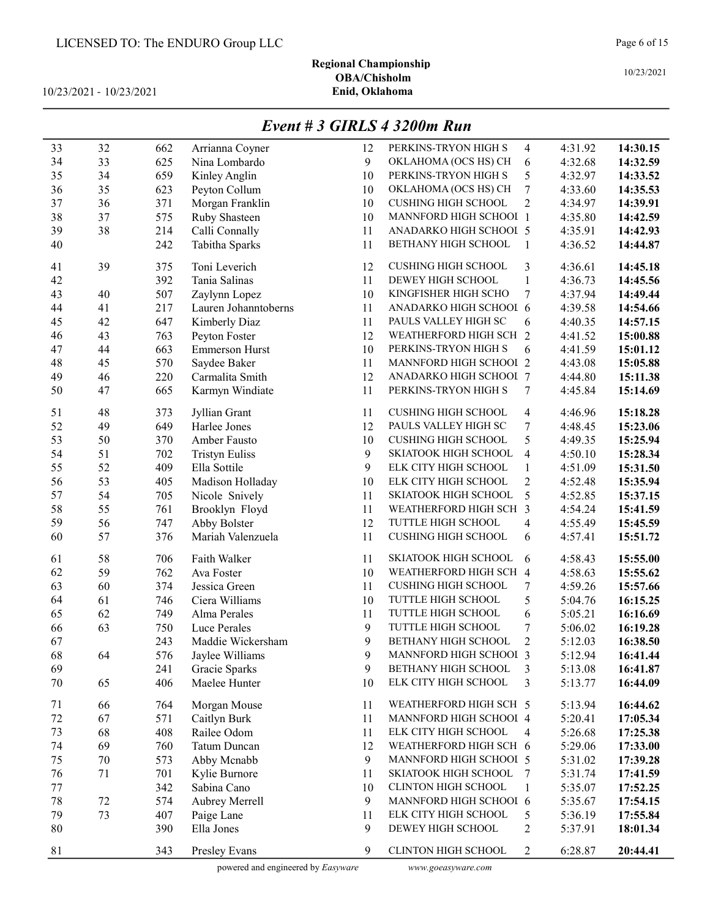# Regional Championship OBA/Chisholm<br>Enid, Oklahoma

10/23/2021 - 10/23/2021

# Event # 3 GIRLS 4 3200m Run

| 33 | 32     | 662 | Arrianna Coyner                | 12               | PERKINS-TRYON HIGH S       | $\overline{4}$           | 4:31.92 | 14:30.15             |
|----|--------|-----|--------------------------------|------------------|----------------------------|--------------------------|---------|----------------------|
| 34 | 33     | 625 | Nina Lombardo                  | 9                | OKLAHOMA (OCS HS) CH       | 6                        | 4:32.68 | 14:32.59             |
| 35 | 34     | 659 | Kinley Anglin                  | 10               | PERKINS-TRYON HIGH S       | 5                        | 4:32.97 | 14:33.52             |
| 36 | 35     | 623 | Peyton Collum                  | 10               | OKLAHOMA (OCS HS) CH       | 7                        | 4:33.60 | 14:35.53             |
| 37 | 36     | 371 | Morgan Franklin                | 10               | <b>CUSHING HIGH SCHOOL</b> | 2                        | 4:34.97 | 14:39.91             |
| 38 | 37     | 575 | Ruby Shasteen                  | 10               | MANNFORD HIGH SCHOOI 1     |                          | 4:35.80 | 14:42.59             |
| 39 | 38     | 214 | Calli Connally                 | 11               | ANADARKO HIGH SCHOOL 5     |                          | 4:35.91 | 14:42.93             |
| 40 |        | 242 | Tabitha Sparks                 | 11               | BETHANY HIGH SCHOOL        | 1                        | 4:36.52 | 14:44.87             |
|    |        |     |                                |                  |                            |                          |         |                      |
| 41 | 39     | 375 | Toni Leverich                  | 12               | <b>CUSHING HIGH SCHOOL</b> | 3                        | 4:36.61 | 14:45.18             |
| 42 |        | 392 | Tania Salinas                  | 11               | DEWEY HIGH SCHOOL          | 1                        | 4:36.73 | 14:45.56             |
| 43 | 40     | 507 | Zaylynn Lopez                  | 10               | KINGFISHER HIGH SCHO       | 7                        | 4:37.94 | 14:49.44             |
| 44 | 41     | 217 | Lauren Johanntoberns           | 11               | ANADARKO HIGH SCHOOL 6     |                          | 4:39.58 | 14:54.66             |
| 45 | 42     | 647 | Kimberly Diaz                  | 11               | PAULS VALLEY HIGH SC       | 6                        | 4:40.35 | 14:57.15             |
| 46 | 43     | 763 | Peyton Foster                  | 12               | WEATHERFORD HIGH SCH 2     |                          | 4:41.52 | 15:00.88             |
| 47 | 44     | 663 | <b>Emmerson Hurst</b>          | 10               | PERKINS-TRYON HIGH S       | 6                        | 4:41.59 | 15:01.12             |
| 48 | 45     | 570 | Saydee Baker                   | 11               | MANNFORD HIGH SCHOOI 2     |                          | 4:43.08 | 15:05.88             |
| 49 | 46     | 220 | Carmalita Smith                | 12               | ANADARKO HIGH SCHOOL 7     |                          | 4:44.80 | 15:11.38             |
| 50 | 47     | 665 | Karmyn Windiate                | 11               | PERKINS-TRYON HIGH S       | 7                        | 4:45.84 | 15:14.69             |
|    |        |     |                                |                  |                            |                          |         |                      |
| 51 | 48     | 373 | Jyllian Grant                  | 11               | <b>CUSHING HIGH SCHOOL</b> | $\overline{4}$           | 4:46.96 | 15:18.28             |
| 52 | 49     | 649 | Harlee Jones                   | 12               | PAULS VALLEY HIGH SC       | 7                        | 4:48.45 | 15:23.06             |
| 53 | 50     | 370 | Amber Fausto                   | 10               | <b>CUSHING HIGH SCHOOL</b> | 5                        | 4:49.35 | 15:25.94             |
| 54 | 51     | 702 | <b>Tristyn Euliss</b>          | 9                | SKIATOOK HIGH SCHOOL       | $\overline{4}$           | 4:50.10 | 15:28.34             |
| 55 | 52     | 409 | Ella Sottile                   | 9                | ELK CITY HIGH SCHOOL       | $\mathbf{1}$             | 4:51.09 | 15:31.50             |
| 56 | 53     | 405 | Madison Holladay               | 10               | ELK CITY HIGH SCHOOL       | $\mathbf{2}$             | 4:52.48 | 15:35.94             |
| 57 | 54     | 705 | Nicole Snively                 | 11               | SKIATOOK HIGH SCHOOL       | 5                        | 4:52.85 | 15:37.15             |
| 58 | 55     | 761 | Brooklyn Floyd                 | 11               | WEATHERFORD HIGH SCH 3     |                          | 4:54.24 | 15:41.59             |
| 59 | 56     | 747 | Abby Bolster                   | 12               | TUTTLE HIGH SCHOOL         | $\overline{\mathcal{A}}$ | 4:55.49 | 15:45.59             |
| 60 | 57     | 376 | Mariah Valenzuela              | 11               | <b>CUSHING HIGH SCHOOL</b> | 6                        | 4:57.41 | 15:51.72             |
| 61 | 58     | 706 | Faith Walker                   | 11               | SKIATOOK HIGH SCHOOL       | 6                        | 4:58.43 | 15:55.00             |
| 62 | 59     | 762 | Ava Foster                     | 10               | WEATHERFORD HIGH SCH 4     |                          | 4:58.63 | 15:55.62             |
| 63 | 60     | 374 | Jessica Green                  | 11               | <b>CUSHING HIGH SCHOOL</b> | 7                        | 4:59.26 | 15:57.66             |
| 64 | 61     | 746 | Ciera Williams                 | 10               | TUTTLE HIGH SCHOOL         | 5                        | 5:04.76 | 16:15.25             |
| 65 | 62     | 749 | Alma Perales                   | 11               | TUTTLE HIGH SCHOOL         | 6                        | 5:05.21 | 16:16.69             |
| 66 | 63     | 750 | Luce Perales                   | 9                | TUTTLE HIGH SCHOOL         | 7                        | 5:06.02 | 16:19.28             |
| 67 |        | 243 | Maddie Wickersham              | 9                | BETHANY HIGH SCHOOL        | $\overline{2}$           | 5:12.03 | 16:38.50             |
| 68 | 64     | 576 | Jaylee Williams                | $\boldsymbol{9}$ | MANNFORD HIGH SCHOOI 3     |                          | 5:12.94 |                      |
| 69 |        | 241 |                                | 9                | BETHANY HIGH SCHOOL        | 3                        | 5:13.08 | 16:41.44<br>16:41.87 |
| 70 | 65     | 406 | Gracie Sparks<br>Maelee Hunter | 10               | ELK CITY HIGH SCHOOL       | 3                        | 5:13.77 | 16:44.09             |
|    |        |     |                                |                  |                            |                          |         |                      |
| 71 | 66     | 764 | Morgan Mouse                   | 11               | WEATHERFORD HIGH SCH 5     |                          | 5:13.94 | 16:44.62             |
| 72 | 67     | 571 | Caitlyn Burk                   | 11               | MANNFORD HIGH SCHOOI 4     |                          | 5:20.41 | 17:05.34             |
| 73 | 68     | 408 | Railee Odom                    | 11               | ELK CITY HIGH SCHOOL       | $\overline{4}$           | 5:26.68 | 17:25.38             |
| 74 | 69     | 760 | Tatum Duncan                   | 12               | WEATHERFORD HIGH SCH 6     |                          | 5:29.06 | 17:33.00             |
| 75 | 70     | 573 | Abby Mcnabb                    | 9                | MANNFORD HIGH SCHOOI 5     |                          | 5:31.02 | 17:39.28             |
| 76 | 71     | 701 | Kylie Burnore                  | 11               | SKIATOOK HIGH SCHOOL       | 7                        | 5:31.74 | 17:41.59             |
| 77 |        | 342 | Sabina Cano                    | 10               | <b>CLINTON HIGH SCHOOL</b> | 1                        | 5:35.07 | 17:52.25             |
| 78 | $72\,$ | 574 | Aubrey Merrell                 | 9                | MANNFORD HIGH SCHOOI 6     |                          | 5:35.67 | 17:54.15             |
| 79 | 73     | 407 | Paige Lane                     | 11               | ELK CITY HIGH SCHOOL       | 5                        | 5:36.19 | 17:55.84             |
| 80 |        | 390 | Ella Jones                     | 9                | DEWEY HIGH SCHOOL          | 2                        | 5:37.91 | 18:01.34             |
|    |        |     |                                |                  |                            |                          |         |                      |
| 81 |        | 343 | Presley Evans                  | 9                | CLINTON HIGH SCHOOL        | 2                        | 6:28.87 | 20:44.41             |

powered and engineered by Easyware www.goeasyware.com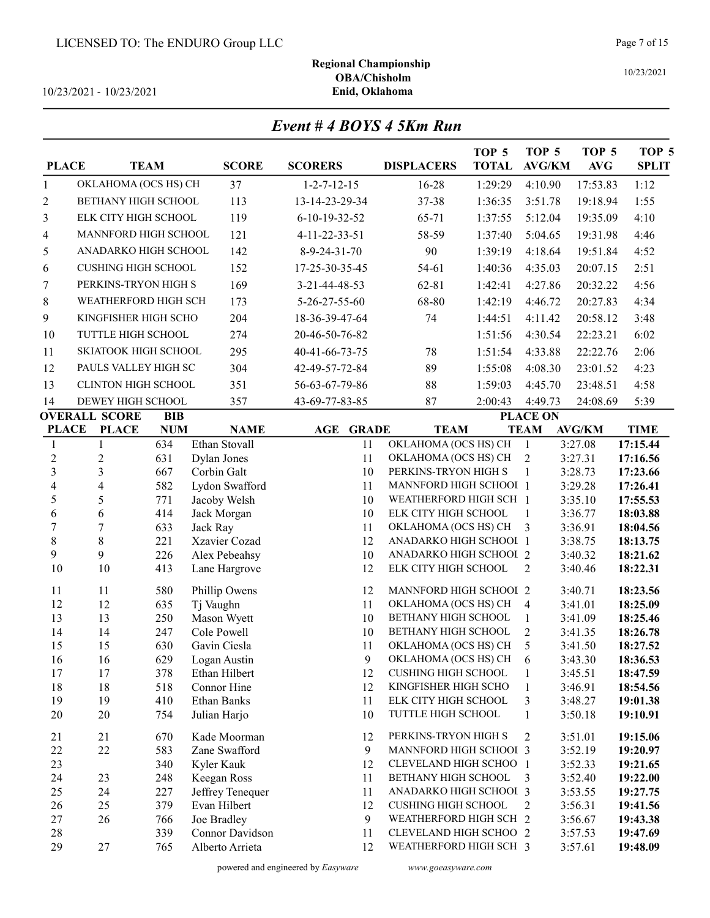10/23/2021 - 10/23/2021

Regional Championship OBA/Chisholm<br>Enid, Oklahoma

# Event # 4 BOYS 4 5Km Run

| <b>PLACE</b>          |                             | <b>TEAM</b> | <b>SCORE</b>                     | <b>SCORERS</b>        | <b>DISPLACERS</b>                                    | TOP <sub>5</sub><br><b>TOTAL</b> | TOP 5<br><b>AVG/KM</b> | TOP 5<br><b>AVG</b> | TOP 5<br><b>SPLIT</b> |
|-----------------------|-----------------------------|-------------|----------------------------------|-----------------------|------------------------------------------------------|----------------------------------|------------------------|---------------------|-----------------------|
| 1                     | OKLAHOMA (OCS HS) CH        |             | 37                               | $1 - 2 - 7 - 12 - 15$ | 16-28                                                | 1:29:29                          | 4:10.90                | 17:53.83            | 1:12                  |
| 2                     | <b>BETHANY HIGH SCHOOL</b>  |             | 113                              | 13-14-23-29-34        | 37-38                                                | 1:36:35                          | 3:51.78                | 19:18.94            | 1:55                  |
| 3                     | ELK CITY HIGH SCHOOL        |             | 119                              | 6-10-19-32-52         | 65-71                                                | 1:37:55                          | 5:12.04                | 19:35.09            | 4:10                  |
| 4                     | <b>MANNFORD HIGH SCHOOL</b> |             | 121                              | 4-11-22-33-51         | 58-59                                                | 1:37:40                          | 5:04.65                | 19:31.98            | 4:46                  |
| 5                     | ANADARKO HIGH SCHOOL        |             | 142                              | 8-9-24-31-70          | 90                                                   | 1:39:19                          | 4:18.64                | 19:51.84            | 4:52                  |
|                       | <b>CUSHING HIGH SCHOOL</b>  |             | 152                              | 17-25-30-35-45        | 54-61                                                | 1:40:36                          | 4:35.03                | 20:07.15            | 2:51                  |
| 6                     |                             |             |                                  |                       |                                                      |                                  |                        |                     |                       |
| 7                     | PERKINS-TRYON HIGH S        |             | 169                              | 3-21-44-48-53         | $62 - 81$                                            | 1:42:41                          | 4:27.86                | 20:32.22            | 4:56                  |
| 8                     | WEATHERFORD HIGH SCH        |             | 173                              | 5-26-27-55-60         | 68-80                                                | 1:42:19                          | 4:46.72                | 20:27.83            | 4:34                  |
| 9                     | KINGFISHER HIGH SCHO        |             | 204                              | 18-36-39-47-64        | 74                                                   | 1:44:51                          | 4:11.42                | 20:58.12            | 3:48                  |
| 10                    | TUTTLE HIGH SCHOOL          |             | 274                              | 20-46-50-76-82        |                                                      | 1:51:56                          | 4:30.54                | 22:23.21            | 6:02                  |
| 11                    | SKIATOOK HIGH SCHOOL        |             | 295                              | 40-41-66-73-75        | 78                                                   | 1:51:54                          | 4:33.88                | 22:22.76            | 2:06                  |
| 12                    | PAULS VALLEY HIGH SC        |             | 304                              | 42-49-57-72-84        | 89                                                   | 1:55:08                          | 4:08.30                | 23:01.52            | 4:23                  |
| 13                    | CLINTON HIGH SCHOOL         |             | 351                              | 56-63-67-79-86        | 88                                                   | 1:59:03                          | 4:45.70                | 23:48.51            | 4:58                  |
| 14                    | DEWEY HIGH SCHOOL           |             | 357                              | 43-69-77-83-85        | 87                                                   | 2:00:43                          | 4:49.73                | 24:08.69            | 5:39                  |
|                       | <b>OVERALL SCORE</b>        | <b>BIB</b>  |                                  |                       |                                                      |                                  | <b>PLACE ON</b>        |                     |                       |
| <b>PLACE</b>          | <b>PLACE</b>                | <b>NUM</b>  | <b>NAME</b>                      | <b>GRADE</b><br>AGE   | <b>TEAM</b>                                          |                                  | <b>TEAM</b>            | <b>AVG/KM</b>       | <b>TIME</b>           |
| 1                     | $\mathbf{1}$                | 634         | Ethan Stovall                    | 11                    | OKLAHOMA (OCS HS) CH                                 |                                  | $\mathbf{1}$           | 3:27.08             | 17:15.44              |
| $\boldsymbol{2}$      | $\overline{c}$              | 631         | Dylan Jones                      | 11                    | OKLAHOMA (OCS HS) CH                                 |                                  | $\overline{2}$         | 3:27.31             | 17:16.56              |
| 3                     | 3                           | 667         | Corbin Galt                      | 10                    | PERKINS-TRYON HIGH S                                 |                                  | 1                      | 3:28.73             | 17:23.66              |
| 4                     | 4                           | 582         | Lydon Swafford                   | 11                    | MANNFORD HIGH SCHOOI 1                               |                                  |                        | 3:29.28             | 17:26.41              |
| 5                     | 5                           | 771         | Jacoby Welsh                     | 10                    | WEATHERFORD HIGH SCH 1                               |                                  |                        | 3:35.10             | 17:55.53              |
| 6<br>$\boldsymbol{7}$ | 6<br>$\overline{7}$         | 414         | Jack Morgan                      | 10<br>11              | ELK CITY HIGH SCHOOL<br>OKLAHOMA (OCS HS) CH         |                                  | $\mathbf{1}$<br>3      | 3:36.77             | 18:03.88              |
| 8                     | 8                           | 633<br>221  | Jack Ray<br>Xzavier Cozad        | 12                    | ANADARKO HIGH SCHOOI 1                               |                                  |                        | 3:36.91<br>3:38.75  | 18:04.56<br>18:13.75  |
| 9                     | 9                           | 226         | Alex Pebeahsy                    | 10                    | ANADARKO HIGH SCHOOI 2                               |                                  |                        | 3:40.32             | 18:21.62              |
| 10                    | 10                          | 413         | Lane Hargrove                    | 12                    | ELK CITY HIGH SCHOOL                                 |                                  | 2                      | 3:40.46             | 18:22.31              |
|                       |                             |             |                                  |                       |                                                      |                                  |                        |                     |                       |
| 11                    | 11                          | 580         | Phillip Owens                    | 12                    | MANNFORD HIGH SCHOOI 2                               |                                  |                        | 3:40.71             | 18:23.56              |
| 12                    | 12                          | 635         | Tj Vaughn                        | 11                    | OKLAHOMA (OCS HS) CH                                 |                                  | $\overline{4}$         | 3:41.01             | 18:25.09              |
| 13                    | 13                          | 250         | Mason Wyett                      | 10                    | BETHANY HIGH SCHOOL                                  |                                  | $\mathbf{1}$           | 3:41.09             | 18:25.46              |
| 14<br>15              | 14<br>15                    | 247<br>630  | Cole Powell<br>Gavin Ciesla      | 10<br>11              | BETHANY HIGH SCHOOL<br>OKLAHOMA (OCS HS) CH          |                                  | $\overline{2}$<br>5    | 3:41.35<br>3:41.50  | 18:26.78<br>18:27.52  |
| 16                    | 16                          | 629         | Logan Austin                     | 9                     | OKLAHOMA (OCS HS) CH                                 |                                  | 6                      | 3:43.30             | 18:36.53              |
| 17                    | 17                          | 378         | Ethan Hilbert                    | 12                    | <b>CUSHING HIGH SCHOOL</b>                           |                                  | 1                      | 3:45.51             | 18:47.59              |
| 18                    | 18                          | 518         | Connor Hine                      | 12                    | KINGFISHER HIGH SCHO                                 |                                  | 1                      | 3:46.91             | 18:54.56              |
| 19                    | 19                          | 410         | <b>Ethan Banks</b>               | 11                    | ELK CITY HIGH SCHOOL                                 |                                  | 3                      | 3:48.27             | 19:01.38              |
| 20                    | 20                          | 754         | Julian Harjo                     | 10                    | TUTTLE HIGH SCHOOL                                   |                                  | 1                      | 3:50.18             | 19:10.91              |
|                       |                             |             |                                  |                       |                                                      |                                  |                        |                     |                       |
| 21                    | 21                          | 670         | Kade Moorman                     | 12                    | PERKINS-TRYON HIGH S                                 |                                  | 2                      | 3:51.01             | 19:15.06              |
| $22\,$                | 22                          | 583         | Zane Swafford                    | 9                     | MANNFORD HIGH SCHOOI 3                               |                                  |                        | 3:52.19             | 19:20.97              |
| 23                    |                             | 340         | Kyler Kauk                       | 12                    | CLEVELAND HIGH SCHOO 1                               |                                  |                        | 3:52.33             | 19:21.65              |
| 24                    | 23                          | 248         | Keegan Ross                      | 11                    | BETHANY HIGH SCHOOL                                  |                                  | 3                      | 3:52.40             | 19:22.00              |
| 25<br>26              | 24                          | 227         | Jeffrey Tenequer<br>Evan Hilbert | 11<br>12              | ANADARKO HIGH SCHOOL 3<br><b>CUSHING HIGH SCHOOL</b> |                                  | 2                      | 3:53.55<br>3:56.31  | 19:27.75              |
| 27                    | 25<br>26                    | 379<br>766  | Joe Bradley                      | 9                     | WEATHERFORD HIGH SCH 2                               |                                  |                        | 3:56.67             | 19:41.56<br>19:43.38  |
| 28                    |                             | 339         | Connor Davidson                  | 11                    | CLEVELAND HIGH SCHOO 2                               |                                  |                        | 3:57.53             | 19:47.69              |
| 29                    | 27                          | 765         | Alberto Arrieta                  | 12                    | WEATHERFORD HIGH SCH 3                               |                                  |                        | 3:57.61             | 19:48.09              |
|                       |                             |             |                                  |                       |                                                      |                                  |                        |                     |                       |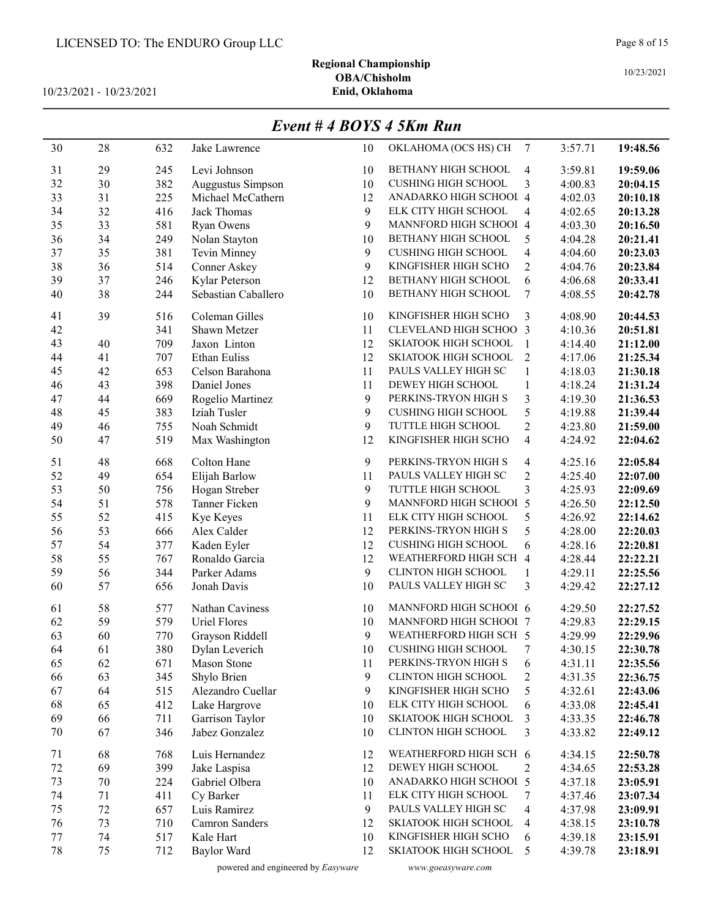# Regional Championship OBA/Chisholm<br>Enid, Oklahoma

10/23/2021 - 10/23/2021

#### Event # 4 BOYS 4 5Km Run

| 30 | 28 | 632 | Jake Lawrence       | 10           | OKLAHOMA (OCS HS) CH          | 7                       | 3:57.71 | 19:48.56 |
|----|----|-----|---------------------|--------------|-------------------------------|-------------------------|---------|----------|
| 31 | 29 | 245 | Levi Johnson        | 10           | BETHANY HIGH SCHOOL           | 4                       | 3:59.81 | 19:59.06 |
| 32 | 30 | 382 | Auggustus Simpson   | 10           | <b>CUSHING HIGH SCHOOL</b>    | 3                       | 4:00.83 | 20:04.15 |
| 33 | 31 | 225 | Michael McCathern   | 12           | ANADARKO HIGH SCHOOI 4        |                         | 4:02.03 | 20:10.18 |
| 34 | 32 | 416 | Jack Thomas         | 9            | ELK CITY HIGH SCHOOL          | 4                       | 4:02.65 | 20:13.28 |
| 35 | 33 | 581 | <b>Ryan Owens</b>   | 9            | MANNFORD HIGH SCHOOI 4        |                         | 4:03.30 | 20:16.50 |
| 36 | 34 | 249 | Nolan Stayton       | 10           | BETHANY HIGH SCHOOL           | 5                       | 4:04.28 | 20:21.41 |
| 37 | 35 | 381 | Tevin Minney        | 9            | <b>CUSHING HIGH SCHOOL</b>    | 4                       | 4:04.60 | 20:23.03 |
| 38 | 36 | 514 | Conner Askey        | 9            | KINGFISHER HIGH SCHO          | $\overline{c}$          | 4:04.76 | 20:23.84 |
| 39 | 37 | 246 | Kylar Peterson      | 12           | BETHANY HIGH SCHOOL           | 6                       | 4:06.68 | 20:33.41 |
| 40 | 38 | 244 | Sebastian Caballero | 10           | BETHANY HIGH SCHOOL           | 7                       | 4:08.55 | 20:42.78 |
| 41 | 39 | 516 | Coleman Gilles      | 10           | KINGFISHER HIGH SCHO          | 3                       | 4:08.90 | 20:44.53 |
| 42 |    | 341 | Shawn Metzer        | 11           | CLEVELAND HIGH SCHOO 3        |                         | 4:10.36 | 20:51.81 |
| 43 | 40 | 709 | Jaxon Linton        | 12           | <b>SKIATOOK HIGH SCHOOL</b>   | $\mathbf{1}$            | 4:14.40 | 21:12.00 |
| 44 | 41 | 707 | <b>Ethan Euliss</b> | 12           | SKIATOOK HIGH SCHOOL          | $\overline{2}$          | 4:17.06 | 21:25.34 |
| 45 | 42 | 653 | Celson Barahona     | 11           | PAULS VALLEY HIGH SC          | $\mathbf{1}$            | 4:18.03 | 21:30.18 |
| 46 | 43 | 398 | Daniel Jones        | 11           | DEWEY HIGH SCHOOL             | $\mathbf{1}$            | 4:18.24 | 21:31.24 |
| 47 | 44 | 669 | Rogelio Martinez    | $\mathbf{9}$ | PERKINS-TRYON HIGH S          | 3                       | 4:19.30 | 21:36.53 |
| 48 | 45 | 383 | Iziah Tusler        | 9            | <b>CUSHING HIGH SCHOOL</b>    | 5                       | 4:19.88 | 21:39.44 |
| 49 | 46 | 755 | Noah Schmidt        | 9            | TUTTLE HIGH SCHOOL            | $\overline{c}$          | 4:23.80 | 21:59.00 |
| 50 | 47 | 519 | Max Washington      | 12           | KINGFISHER HIGH SCHO          | $\overline{\mathbf{4}}$ | 4:24.92 | 22:04.62 |
|    |    |     |                     |              |                               |                         |         |          |
| 51 | 48 | 668 | Colton Hane         | 9            | PERKINS-TRYON HIGH S          | 4                       | 4:25.16 | 22:05.84 |
| 52 | 49 | 654 | Elijah Barlow       | 11           | PAULS VALLEY HIGH SC          | $\overline{c}$          | 4:25.40 | 22:07.00 |
| 53 | 50 | 756 | Hogan Streber       | 9            | TUTTLE HIGH SCHOOL            | $\overline{\mathbf{3}}$ | 4:25.93 | 22:09.69 |
| 54 | 51 | 578 | Tanner Ficken       | 9            | MANNFORD HIGH SCHOOI 5        |                         | 4:26.50 | 22:12.50 |
| 55 | 52 | 415 | Kye Keyes           | 11           | ELK CITY HIGH SCHOOL          | 5                       | 4:26.92 | 22:14.62 |
| 56 | 53 | 666 | Alex Calder         | 12           | PERKINS-TRYON HIGH S          | 5                       | 4:28.00 | 22:20.03 |
| 57 | 54 | 377 | Kaden Eyler         | 12           | <b>CUSHING HIGH SCHOOL</b>    | 6                       | 4:28.16 | 22:20.81 |
| 58 | 55 | 767 | Ronaldo Garcia      | 12           | WEATHERFORD HIGH SCH 4        |                         | 4:28.44 | 22:22.21 |
| 59 | 56 | 344 | Parker Adams        | 9            | CLINTON HIGH SCHOOL           | 1                       | 4:29.11 | 22:25.56 |
| 60 | 57 | 656 | Jonah Davis         | 10           | PAULS VALLEY HIGH SC          | 3                       | 4:29.42 | 22:27.12 |
| 61 | 58 | 577 | Nathan Caviness     | 10           | MANNFORD HIGH SCHOOI 6        |                         | 4:29.50 | 22:27.52 |
| 62 | 59 | 579 | Uriel Flores        | 10           | <b>MANNFORD HIGH SCHOOL 7</b> |                         | 4:29.83 | 22:29.15 |
| 63 | 60 | 770 | Grayson Riddell     | 9            | WEATHERFORD HIGH SCH 5        |                         | 4:29.99 | 22:29.96 |
| 64 | 61 | 380 | Dylan Leverich      | 10           | <b>CUSHING HIGH SCHOOL</b>    | 7                       | 4:30.15 | 22:30.78 |
| 65 | 62 | 671 | <b>Mason Stone</b>  | 11           | PERKINS-TRYON HIGH S          | 6                       | 4:31.11 | 22:35.56 |
| 66 | 63 | 345 | Shylo Brien         | 9            | <b>CLINTON HIGH SCHOOL</b>    | $\overline{\mathbf{c}}$ | 4:31.35 | 22:36.75 |
| 67 | 64 | 515 | Alezandro Cuellar   | 9            | KINGFISHER HIGH SCHO          | 5                       | 4:32.61 | 22:43.06 |
| 68 | 65 | 412 | Lake Hargrove       | 10           | ELK CITY HIGH SCHOOL          | 6                       | 4:33.08 | 22:45.41 |
| 69 | 66 | 711 | Garrison Taylor     | 10           | SKIATOOK HIGH SCHOOL          | 3                       | 4:33.35 | 22:46.78 |
| 70 | 67 | 346 | Jabez Gonzalez      | 10           | CLINTON HIGH SCHOOL           | 3                       | 4:33.82 | 22:49.12 |
| 71 | 68 | 768 | Luis Hernandez      | 12           | WEATHERFORD HIGH SCH 6        |                         | 4:34.15 | 22:50.78 |
| 72 | 69 | 399 | Jake Laspisa        | 12           | DEWEY HIGH SCHOOL             | 2                       | 4:34.65 | 22:53.28 |
| 73 | 70 | 224 | Gabriel Olbera      | 10           | ANADARKO HIGH SCHOOL 5        |                         | 4:37.18 | 23:05.91 |
| 74 | 71 | 411 | Cy Barker           | 11           | ELK CITY HIGH SCHOOL          | 7                       | 4:37.46 | 23:07.34 |
| 75 | 72 | 657 | Luis Ramirez        | 9            | PAULS VALLEY HIGH SC          | 4                       | 4:37.98 | 23:09.91 |
| 76 | 73 | 710 | Camron Sanders      | 12           | SKIATOOK HIGH SCHOOL          | 4                       | 4:38.15 | 23:10.78 |
| 77 | 74 | 517 | Kale Hart           | 10           | KINGFISHER HIGH SCHO          | 6                       | 4:39.18 | 23:15.91 |
| 78 | 75 | 712 | Baylor Ward         | 12           | SKIATOOK HIGH SCHOOL          | 5                       | 4:39.78 | 23:18.91 |
|    |    |     |                     |              |                               |                         |         |          |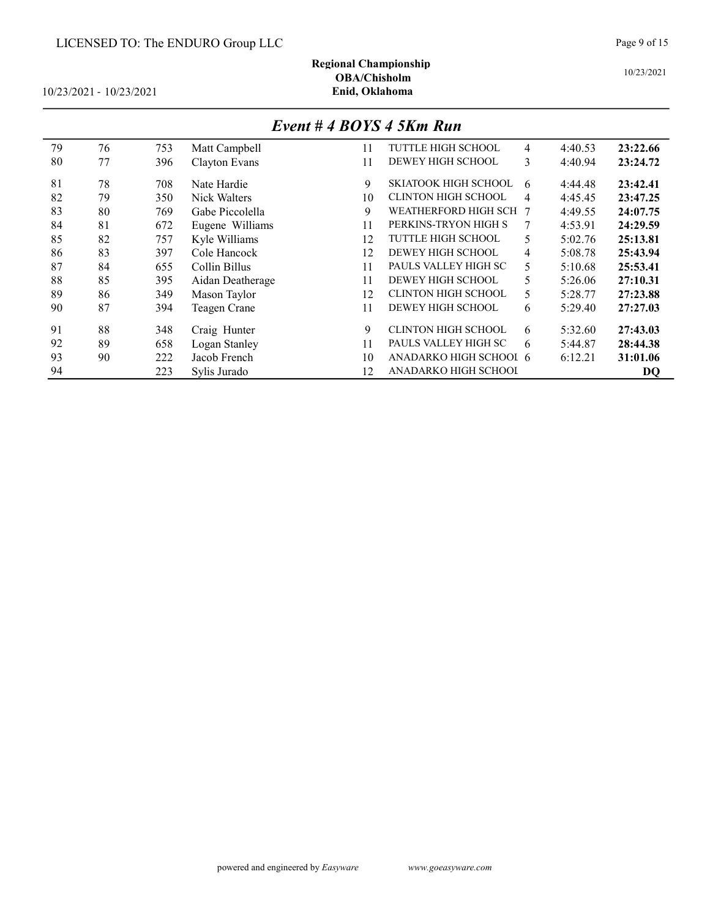# Regional Championship OBA/Chisholm<br>Enid, Oklahoma

10/23/2021 - 10/23/2021

# Event # 4 BOYS 4 5Km Run

| 79 | 76 | 753 | Matt Campbell    | 11 | <b>TUTTLE HIGH SCHOOL</b>   | 4              | 4:40.53 | 23:22.66 |
|----|----|-----|------------------|----|-----------------------------|----------------|---------|----------|
| 80 | 77 | 396 | Clayton Evans    | 11 | DEWEY HIGH SCHOOL           | 3              | 4:40.94 | 23:24.72 |
| 81 | 78 | 708 | Nate Hardie      | 9  | <b>SKIATOOK HIGH SCHOOL</b> | 6              | 4:44.48 | 23:42.41 |
| 82 | 79 | 350 | Nick Walters     | 10 | <b>CLINTON HIGH SCHOOL</b>  | 4              | 4:45.45 | 23:47.25 |
| 83 | 80 | 769 | Gabe Piccolella  | 9  | WEATHERFORD HIGH SCH        | -7             | 4:49.55 | 24:07.75 |
| 84 | 81 | 672 | Eugene Williams  | 11 | PERKINS-TRYON HIGH S        | 7              | 4:53.91 | 24:29.59 |
| 85 | 82 | 757 | Kyle Williams    | 12 | <b>TUTTLE HIGH SCHOOL</b>   | 5              | 5:02.76 | 25:13.81 |
| 86 | 83 | 397 | Cole Hancock     | 12 | DEWEY HIGH SCHOOL           | $\overline{4}$ | 5:08.78 | 25:43.94 |
| 87 | 84 | 655 | Collin Billus    | 11 | PAULS VALLEY HIGH SC        | 5              | 5:10.68 | 25:53.41 |
| 88 | 85 | 395 | Aidan Deatherage | 11 | DEWEY HIGH SCHOOL           | 5              | 5:26.06 | 27:10.31 |
| 89 | 86 | 349 | Mason Taylor     | 12 | <b>CLINTON HIGH SCHOOL</b>  | 5              | 5:28.77 | 27:23.88 |
| 90 | 87 | 394 | Teagen Crane     | 11 | DEWEY HIGH SCHOOL           | 6              | 5:29.40 | 27:27.03 |
| 91 | 88 | 348 | Craig Hunter     | 9  | <b>CLINTON HIGH SCHOOL</b>  | 6              | 5:32.60 | 27:43.03 |
| 92 | 89 | 658 | Logan Stanley    | 11 | PAULS VALLEY HIGH SC        | 6              | 5:44.87 | 28:44.38 |
| 93 | 90 | 222 | Jacob French     | 10 | ANADARKO HIGH SCHOOL 6      |                | 6:12.21 | 31:01.06 |
| 94 |    | 223 | Sylis Jurado     | 12 | ANADARKO HIGH SCHOOI        |                |         | DQ       |

10/23/2021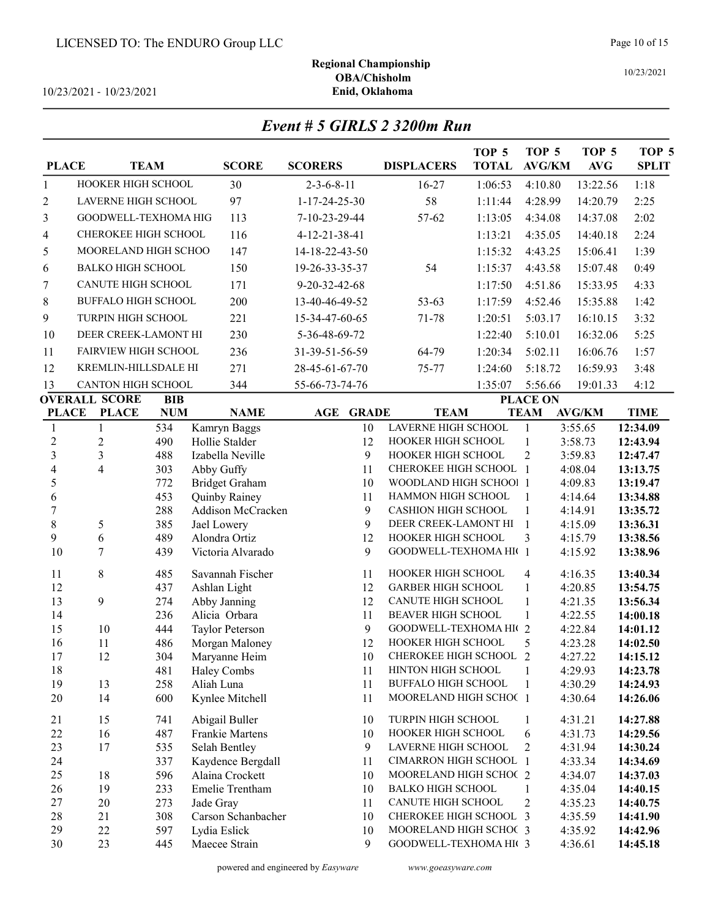10/23/2021 - 10/23/2021

| Event # 5 GIRLS 2 3200m Run |  |  |  |
|-----------------------------|--|--|--|
|-----------------------------|--|--|--|

| <b>PLACE</b>            |                            | <b>TEAM</b> | <b>SCORE</b>                      | <b>SCORERS</b>             | <b>DISPLACERS</b>                                 | TOP <sub>5</sub><br><b>TOTAL</b> | TOP 5<br><b>AVG/KM</b>         | TOP <sub>5</sub><br><b>AVG</b> | TOP 5<br><b>SPLIT</b> |
|-------------------------|----------------------------|-------------|-----------------------------------|----------------------------|---------------------------------------------------|----------------------------------|--------------------------------|--------------------------------|-----------------------|
| 1                       | HOOKER HIGH SCHOOL         |             | 30                                | $2 - 3 - 6 - 8 - 11$       | 16-27                                             | 1:06:53                          | 4:10.80                        | 13:22.56                       | 1:18                  |
| $\overline{2}$          | LAVERNE HIGH SCHOOL        |             | 97                                | $1 - 17 - 24 - 25 - 30$    | 58                                                | 1:11:44                          | 4:28.99                        | 14:20.79                       | 2:25                  |
|                         |                            |             |                                   |                            |                                                   |                                  |                                |                                |                       |
| 3                       | GOODWELL-TEXHOMA HIG       |             | 113                               | 7-10-23-29-44              | 57-62                                             | 1:13:05                          | 4:34.08                        | 14:37.08                       | 2:02                  |
| 4                       | CHEROKEE HIGH SCHOOL       |             | 116                               | 4-12-21-38-41              |                                                   | 1:13:21                          | 4:35.05                        | 14:40.18                       | 2:24                  |
| 5                       | MOORELAND HIGH SCHOO       |             | 147                               | 14-18-22-43-50             |                                                   | 1:15:32                          | 4:43.25                        | 15:06.41                       | 1:39                  |
| 6                       | <b>BALKO HIGH SCHOOL</b>   |             | 150                               | 19-26-33-35-37             | 54                                                | 1:15:37                          | 4:43.58                        | 15:07.48                       | 0:49                  |
| $\boldsymbol{7}$        | CANUTE HIGH SCHOOL         |             | 171                               | 9-20-32-42-68              |                                                   | 1:17:50                          | 4:51.86                        | 15:33.95                       | 4:33                  |
| 8                       | <b>BUFFALO HIGH SCHOOL</b> |             | 200                               | 13-40-46-49-52             | 53-63                                             | 1:17:59                          | 4:52.46                        | 15:35.88                       | 1:42                  |
| 9                       | TURPIN HIGH SCHOOL         |             | 221                               | 15-34-47-60-65             | 71-78                                             | 1:20:51                          | 5:03.17                        | 16:10.15                       | 3:32                  |
| 10                      | DEER CREEK-LAMONT HI       |             | 230                               | 5-36-48-69-72              |                                                   | 1:22:40                          | 5:10.01                        | 16:32.06                       | 5:25                  |
| 11                      | FAIRVIEW HIGH SCHOOL       |             | 236                               | 31-39-51-56-59             | 64-79                                             | 1:20:34                          | 5:02.11                        | 16:06.76                       | 1:57                  |
| 12                      | KREMLIN-HILLSDALE HI       |             | 271                               | 28-45-61-67-70             | 75-77                                             | 1:24:60                          | 5:18.72                        | 16:59.93                       | 3:48                  |
| 13                      | CANTON HIGH SCHOOL         |             | 344                               | 55-66-73-74-76             |                                                   | 1:35:07                          | 5:56.66                        | 19:01.33                       | 4:12                  |
|                         | <b>OVERALL SCORE</b>       | <b>BIB</b>  |                                   |                            |                                                   |                                  | <b>PLACE ON</b>                |                                |                       |
| <b>PLACE</b>            | <b>PLACE</b>               | <b>NUM</b>  | <b>NAME</b>                       | <b>AGE</b><br><b>GRADE</b> | <b>TEAM</b>                                       |                                  | <b>TEAM</b>                    | <b>AVG/KM</b>                  | <b>TIME</b>           |
| $\mathbf{1}$            | $\mathbf{1}$               | 534         | Kamryn Baggs                      | 10                         | LAVERNE HIGH SCHOOL                               |                                  | $\mathbf{1}$                   | 3:55.65                        | 12:34.09              |
| $\overline{c}$          | $\overline{c}$             | 490         | Hollie Stalder                    | 12                         | HOOKER HIGH SCHOOL                                |                                  | $\mathbf{1}$                   | 3:58.73                        | 12:43.94              |
| $\overline{\mathbf{3}}$ | 3                          | 488         | Izabella Neville                  | 9                          | HOOKER HIGH SCHOOL                                |                                  | $\overline{c}$                 | 3:59.83                        | 12:47.47              |
| 4                       | $\overline{4}$             | 303         | Abby Guffy                        | 11                         | CHEROKEE HIGH SCHOOL                              |                                  | $\overline{1}$                 | 4:08.04                        | 13:13.75              |
| 5                       |                            | 772         | <b>Bridget Graham</b>             | 10                         | WOODLAND HIGH SCHOO! 1                            |                                  |                                | 4:09.83                        | 13:19.47              |
| 6                       |                            | 453         | Quinby Rainey                     | 11                         | HAMMON HIGH SCHOOL                                |                                  | $\mathbf{1}$                   | 4:14.64                        | 13:34.88              |
| $\overline{7}$          |                            | 288         | Addison McCracken                 | 9                          | <b>CASHION HIGH SCHOOL</b>                        |                                  | $\mathbf{1}$                   | 4:14.91                        | 13:35.72              |
| $\,8\,$<br>9            | 5<br>6                     | 385<br>489  | Jael Lowery<br>Alondra Ortiz      | 9<br>12                    | DEER CREEK-LAMONT HI<br>HOOKER HIGH SCHOOL        |                                  | $\mathbf{1}$<br>3              | 4:15.09<br>4:15.79             | 13:36.31<br>13:38.56  |
| 10                      | $\tau$                     | 439         | Victoria Alvarado                 | 9                          | GOODWELL-TEXHOMA HI(1                             |                                  |                                | 4:15.92                        | 13:38.96              |
|                         |                            |             |                                   |                            |                                                   |                                  |                                |                                |                       |
| 11                      | 8                          | 485         | Savannah Fischer                  | 11                         | HOOKER HIGH SCHOOL                                |                                  | 4                              | 4:16.35                        | 13:40.34              |
| 12                      |                            | 437         | Ashlan Light                      | 12                         | <b>GARBER HIGH SCHOOL</b>                         |                                  | $\mathbf{1}$                   | 4:20.85                        | 13:54.75              |
| 13                      | $\mathfrak{g}$             | 274         | Abby Janning                      | 12                         | CANUTE HIGH SCHOOL                                |                                  | $\mathbf{1}$                   | 4:21.35                        | 13:56.34              |
| 14<br>15                |                            | 236         | Alicia Orbara                     | 11                         | <b>BEAVER HIGH SCHOOL</b><br>GOODWELL-TEXHOMA HIG |                                  | $\mathbf{1}$<br>$\overline{2}$ | 4:22.55                        | 14:00.18              |
| 16                      | 10<br>11                   | 444<br>486  | Taylor Peterson<br>Morgan Maloney | 9<br>12                    | HOOKER HIGH SCHOOL                                |                                  | 5                              | 4:22.84<br>4:23.28             | 14:01.12<br>14:02.50  |
| 17                      | 12                         | 304         | Maryanne Heim                     | 10                         | CHEROKEE HIGH SCHOOL 2                            |                                  |                                | 4:27.22                        | 14:15.12              |
| 18                      |                            | 481         | Haley Combs                       | 11                         | HINTON HIGH SCHOOL                                |                                  | 1                              | 4:29.93                        | 14:23.78              |
| 19                      | 13                         | 258         | Aliah Luna                        | 11                         | <b>BUFFALO HIGH SCHOOL</b>                        |                                  | 1                              | 4:30.29                        | 14:24.93              |
| 20                      | 14                         | 600         | Kynlee Mitchell                   | 11                         | MOORELAND HIGH SCHOC 1                            |                                  |                                | 4:30.64                        | 14:26.06              |
| 21                      | 15                         | 741         | Abigail Buller                    | 10                         | TURPIN HIGH SCHOOL                                |                                  | 1                              | 4:31.21                        | 14:27.88              |
| 22                      | 16                         | 487         | Frankie Martens                   | 10                         | HOOKER HIGH SCHOOL                                |                                  | 6                              | 4:31.73                        | 14:29.56              |
| 23                      | 17                         | 535         | Selah Bentley                     | 9                          | LAVERNE HIGH SCHOOL                               |                                  | 2                              | 4:31.94                        | 14:30.24              |
| 24                      |                            | 337         | Kaydence Bergdall                 | 11                         | CIMARRON HIGH SCHOOL 1                            |                                  |                                | 4:33.34                        | 14:34.69              |
| 25                      | 18                         | 596         | Alaina Crockett                   | 10                         | MOORELAND HIGH SCHOC 2                            |                                  |                                | 4:34.07                        | 14:37.03              |
| 26                      | 19                         | 233         | Emelie Trentham                   | 10                         | <b>BALKO HIGH SCHOOL</b>                          |                                  | 1                              | 4:35.04                        | 14:40.15              |
| 27                      | 20                         | 273         | Jade Gray                         | 11                         | CANUTE HIGH SCHOOL                                |                                  | 2                              | 4:35.23                        | 14:40.75              |
| 28                      | 21                         | 308         | Carson Schanbacher                | 10                         | CHEROKEE HIGH SCHOOL 3                            |                                  |                                | 4:35.59                        | 14:41.90              |
| 29                      | 22                         | 597         | Lydia Eslick                      | 10                         | MOORELAND HIGH SCHOC 3                            |                                  |                                | 4:35.92                        | 14:42.96              |
| 30                      | 23                         | 445         | Maecee Strain                     | 9                          | GOODWELL-TEXHOMA HI( 3                            |                                  |                                | 4:36.61                        | 14:45.18              |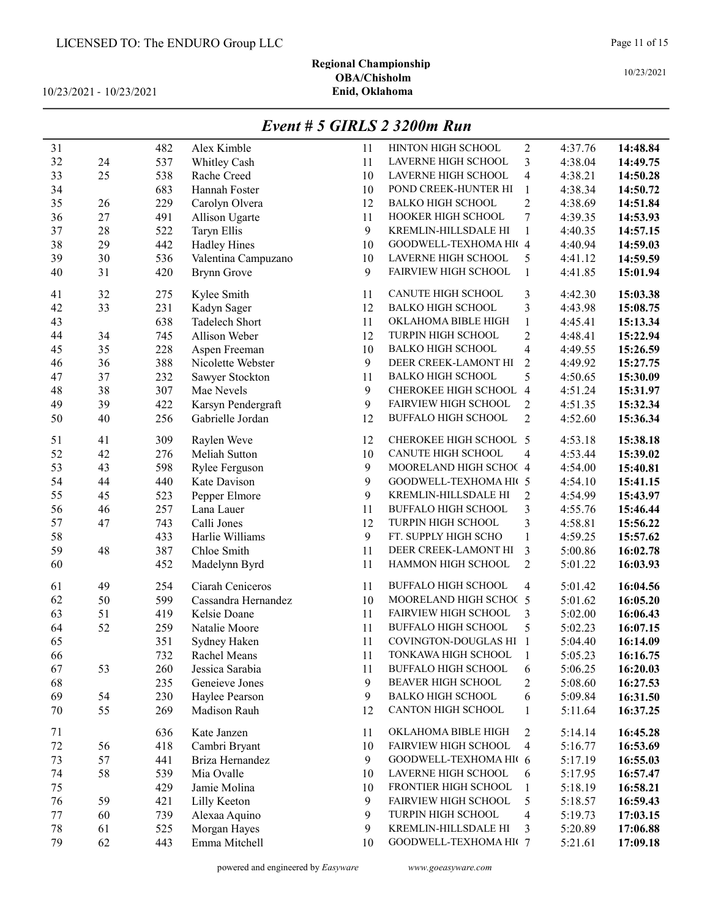# Regional Championship OBA/Chisholm<br>Enid, Oklahoma

10/23/2021 - 10/23/2021

### Event # 5 GIRLS 2 3200m Run

| 31 |    | 482 | Alex Kimble         | 11 | HINTON HIGH SCHOOL         | $\overline{c}$ | 4:37.76 | 14:48.84 |
|----|----|-----|---------------------|----|----------------------------|----------------|---------|----------|
| 32 | 24 | 537 | Whitley Cash        | 11 | LAVERNE HIGH SCHOOL        | 3              | 4:38.04 | 14:49.75 |
| 33 | 25 | 538 | Rache Creed         | 10 | LAVERNE HIGH SCHOOL        | 4              | 4:38.21 | 14:50.28 |
| 34 |    | 683 | Hannah Foster       | 10 | POND CREEK-HUNTER HI       | 1              | 4:38.34 | 14:50.72 |
| 35 | 26 | 229 | Carolyn Olvera      | 12 | <b>BALKO HIGH SCHOOL</b>   | $\overline{2}$ | 4:38.69 | 14:51.84 |
| 36 | 27 | 491 | Allison Ugarte      | 11 | HOOKER HIGH SCHOOL         | 7              | 4:39.35 | 14:53.93 |
| 37 | 28 | 522 | Taryn Ellis         | 9  | KREMLIN-HILLSDALE HI       | 1              | 4:40.35 | 14:57.15 |
| 38 | 29 | 442 | <b>Hadley Hines</b> | 10 | GOODWELL-TEXHOMA HI( 4     |                | 4:40.94 | 14:59.03 |
| 39 | 30 | 536 | Valentina Campuzano | 10 | LAVERNE HIGH SCHOOL        | 5              | 4:41.12 | 14:59.59 |
| 40 | 31 | 420 | Brynn Grove         | 9  | FAIRVIEW HIGH SCHOOL       | 1              | 4:41.85 | 15:01.94 |
| 41 | 32 | 275 | Kylee Smith         | 11 | CANUTE HIGH SCHOOL         | 3              | 4:42.30 | 15:03.38 |
| 42 | 33 | 231 | Kadyn Sager         | 12 | <b>BALKO HIGH SCHOOL</b>   | 3              | 4:43.98 | 15:08.75 |
| 43 |    | 638 | Tadelech Short      | 11 | OKLAHOMA BIBLE HIGH        | $\mathbf{1}$   | 4:45.41 | 15:13.34 |
| 44 | 34 | 745 | Allison Weber       | 12 | TURPIN HIGH SCHOOL         | $\overline{c}$ | 4:48.41 | 15:22.94 |
| 45 | 35 | 228 | Aspen Freeman       | 10 | <b>BALKO HIGH SCHOOL</b>   | $\overline{4}$ | 4:49.55 | 15:26.59 |
| 46 | 36 | 388 | Nicolette Webster   | 9  | DEER CREEK-LAMONT HI       | $\overline{2}$ | 4:49.92 | 15:27.75 |
| 47 | 37 | 232 | Sawyer Stockton     | 11 | <b>BALKO HIGH SCHOOL</b>   | 5              | 4:50.65 | 15:30.09 |
| 48 | 38 | 307 | Mae Nevels          | 9  | CHEROKEE HIGH SCHOOL       | $\overline{4}$ | 4:51.24 | 15:31.97 |
| 49 | 39 | 422 | Karsyn Pendergraft  | 9  | FAIRVIEW HIGH SCHOOL       | $\overline{c}$ | 4:51.35 | 15:32.34 |
| 50 | 40 | 256 | Gabrielle Jordan    | 12 | <b>BUFFALO HIGH SCHOOL</b> | $\overline{2}$ | 4:52.60 | 15:36.34 |
| 51 | 41 | 309 | Raylen Weve         | 12 | CHEROKEE HIGH SCHOOL 5     |                | 4:53.18 | 15:38.18 |
| 52 | 42 | 276 | Meliah Sutton       | 10 | CANUTE HIGH SCHOOL         | $\overline{4}$ | 4:53.44 | 15:39.02 |
| 53 | 43 | 598 | Rylee Ferguson      | 9  | MOORELAND HIGH SCHOC 4     |                | 4:54.00 | 15:40.81 |
| 54 | 44 | 440 | Kate Davison        | 9  | GOODWELL-TEXHOMA HI( 5     |                | 4:54.10 | 15:41.15 |
| 55 | 45 | 523 | Pepper Elmore       | 9  | KREMLIN-HILLSDALE HI       | $\overline{2}$ | 4:54.99 | 15:43.97 |
| 56 | 46 | 257 | Lana Lauer          | 11 | <b>BUFFALO HIGH SCHOOL</b> | 3              | 4:55.76 | 15:46.44 |
| 57 | 47 | 743 | Calli Jones         | 12 | TURPIN HIGH SCHOOL         | 3              | 4:58.81 | 15:56.22 |
| 58 |    | 433 | Harlie Williams     | 9  | FT. SUPPLY HIGH SCHO       | 1              | 4:59.25 | 15:57.62 |
| 59 | 48 | 387 | Chloe Smith         | 11 | DEER CREEK-LAMONT HI       | 3              | 5:00.86 | 16:02.78 |
| 60 |    | 452 | Madelynn Byrd       | 11 | HAMMON HIGH SCHOOL         | $\overline{2}$ | 5:01.22 | 16:03.93 |
| 61 | 49 | 254 | Ciarah Ceniceros    | 11 | <b>BUFFALO HIGH SCHOOL</b> | 4              | 5:01.42 | 16:04.56 |
| 62 | 50 | 599 | Cassandra Hernandez | 10 | MOORELAND HIGH SCHOC 5     |                | 5:01.62 | 16:05.20 |
| 63 | 51 | 419 | Kelsie Doane        | 11 | FAIRVIEW HIGH SCHOOL       | 3              | 5:02.00 | 16:06.43 |
| 64 | 52 | 259 | Natalie Moore       | 11 | <b>BUFFALO HIGH SCHOOL</b> | 5              | 5:02.23 | 16:07.15 |
| 65 |    | 351 | Sydney Haken        | 11 | COVINGTON-DOUGLAS HI 1     |                | 5:04.40 | 16:14.09 |
| 66 |    | 732 | Rachel Means        | 11 | TONKAWA HIGH SCHOOL        |                | 5:05.23 | 16:16.75 |
| 67 | 53 | 260 | Jessica Sarabia     | 11 | <b>BUFFALO HIGH SCHOOL</b> | 6              | 5:06.25 | 16:20.03 |
| 68 |    | 235 | Geneieve Jones      | 9  | <b>BEAVER HIGH SCHOOL</b>  | $\overline{c}$ | 5:08.60 | 16:27.53 |
| 69 | 54 | 230 | Haylee Pearson      | 9  | <b>BALKO HIGH SCHOOL</b>   | 6              | 5:09.84 | 16:31.50 |
| 70 | 55 | 269 | Madison Rauh        | 12 | CANTON HIGH SCHOOL         | $\mathbf{1}$   | 5:11.64 | 16:37.25 |
| 71 |    | 636 | Kate Janzen         | 11 | OKLAHOMA BIBLE HIGH        | $\overline{c}$ | 5:14.14 | 16:45.28 |
| 72 | 56 | 418 | Cambri Bryant       | 10 | FAIRVIEW HIGH SCHOOL       | $\overline{4}$ | 5:16.77 | 16:53.69 |
| 73 | 57 | 441 | Briza Hernandez     | 9  | GOODWELL-TEXHOMA HIG 6     |                | 5:17.19 | 16:55.03 |
| 74 | 58 | 539 | Mia Ovalle          | 10 | LAVERNE HIGH SCHOOL        | 6              | 5:17.95 | 16:57.47 |
| 75 |    | 429 | Jamie Molina        | 10 | FRONTIER HIGH SCHOOL       | 1              | 5:18.19 | 16:58.21 |
| 76 | 59 | 421 | Lilly Keeton        | 9  | FAIRVIEW HIGH SCHOOL       | 5              | 5:18.57 | 16:59.43 |
| 77 | 60 | 739 | Alexaa Aquino       | 9  | TURPIN HIGH SCHOOL         | $\overline{4}$ | 5:19.73 | 17:03.15 |
| 78 | 61 | 525 | Morgan Hayes        | 9  | KREMLIN-HILLSDALE HI       | 3              | 5:20.89 | 17:06.88 |
| 79 | 62 | 443 | Emma Mitchell       | 10 | GOODWELL-TEXHOMA HI(7      |                | 5:21.61 | 17:09.18 |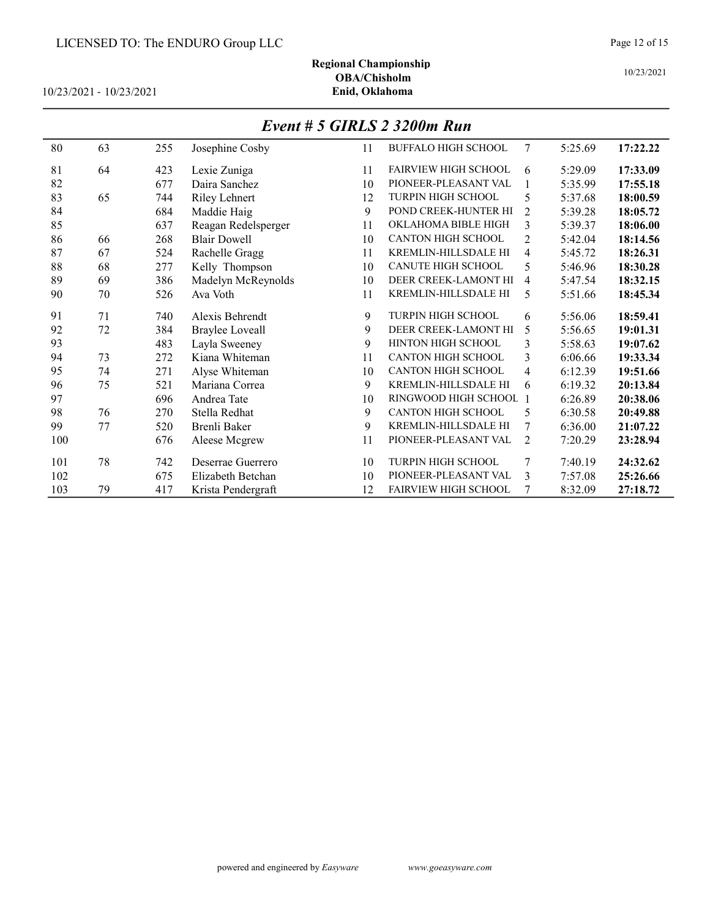# Regional Championship

10/23/2021 - 10/23/2021

#### Event # 5 GIRLS 2 3200m Run

| 80  | 63 | 255 | Josephine Cosby        | 11 | <b>BUFFALO HIGH SCHOOL</b>  | 7              | 5:25.69 | 17:22.22 |
|-----|----|-----|------------------------|----|-----------------------------|----------------|---------|----------|
| 81  | 64 | 423 | Lexie Zuniga           | 11 | <b>FAIRVIEW HIGH SCHOOL</b> | 6              | 5:29.09 | 17:33.09 |
| 82  |    | 677 | Daira Sanchez          | 10 | PIONEER-PLEASANT VAL        |                | 5:35.99 | 17:55.18 |
| 83  | 65 | 744 | <b>Riley Lehnert</b>   | 12 | <b>TURPIN HIGH SCHOOL</b>   | 5              | 5:37.68 | 18:00.59 |
| 84  |    | 684 | Maddie Haig            | 9  | POND CREEK-HUNTER HI        | $\overline{2}$ | 5:39.28 | 18:05.72 |
| 85  |    | 637 | Reagan Redelsperger    | 11 | OKLAHOMA BIBLE HIGH         | 3              | 5:39.37 | 18:06.00 |
| 86  | 66 | 268 | <b>Blair Dowell</b>    | 10 | <b>CANTON HIGH SCHOOL</b>   | 2              | 5:42.04 | 18:14.56 |
| 87  | 67 | 524 | Rachelle Gragg         | 11 | KREMLIN-HILLSDALE HI        | 4              | 5:45.72 | 18:26.31 |
| 88  | 68 | 277 | Kelly Thompson         | 10 | <b>CANUTE HIGH SCHOOL</b>   | 5              | 5:46.96 | 18:30.28 |
| 89  | 69 | 386 | Madelyn McReynolds     | 10 | DEER CREEK-LAMONT HI        | 4              | 5:47.54 | 18:32.15 |
| 90  | 70 | 526 | Ava Voth               | 11 | KREMLIN-HILLSDALE HI        | 5              | 5:51.66 | 18:45.34 |
| 91  | 71 | 740 | Alexis Behrendt        | 9  | <b>TURPIN HIGH SCHOOL</b>   | 6              | 5:56.06 | 18:59.41 |
| 92  | 72 | 384 | <b>Braylee Loveall</b> | 9  | DEER CREEK-LAMONT HI        | 5              | 5:56.65 | 19:01.31 |
| 93  |    | 483 | Layla Sweeney          | 9  | HINTON HIGH SCHOOL          | 3              | 5:58.63 | 19:07.62 |
| 94  | 73 | 272 | Kiana Whiteman         | 11 | <b>CANTON HIGH SCHOOL</b>   | 3              | 6:06.66 | 19:33.34 |
| 95  | 74 | 271 | Alyse Whiteman         | 10 | <b>CANTON HIGH SCHOOL</b>   | $\overline{4}$ | 6:12.39 | 19:51.66 |
| 96  | 75 | 521 | Mariana Correa         | 9  | <b>KREMLIN-HILLSDALE HI</b> | 6              | 6:19.32 | 20:13.84 |
| 97  |    | 696 | Andrea Tate            | 10 | RINGWOOD HIGH SCHOOL        |                | 6:26.89 | 20:38.06 |
| 98  | 76 | 270 | Stella Redhat          | 9  | <b>CANTON HIGH SCHOOL</b>   | 5              | 6:30.58 | 20:49.88 |
| 99  | 77 | 520 | Brenli Baker           | 9  | KREMLIN-HILLSDALE HI        | 7              | 6:36.00 | 21:07.22 |
| 100 |    | 676 | Aleese Mcgrew          | 11 | PIONEER-PLEASANT VAL        | $\overline{2}$ | 7:20.29 | 23:28.94 |
| 101 | 78 | 742 | Deserrae Guerrero      | 10 | <b>TURPIN HIGH SCHOOL</b>   | 7              | 7:40.19 | 24:32.62 |
| 102 |    | 675 | Elizabeth Betchan      | 10 | PIONEER-PLEASANT VAL        | 3              | 7:57.08 | 25:26.66 |
| 103 | 79 | 417 | Krista Pendergraft     | 12 | <b>FAIRVIEW HIGH SCHOOL</b> | 7              | 8:32.09 | 27:18.72 |

# OBA/Chisholm<br>Enid, Oklahoma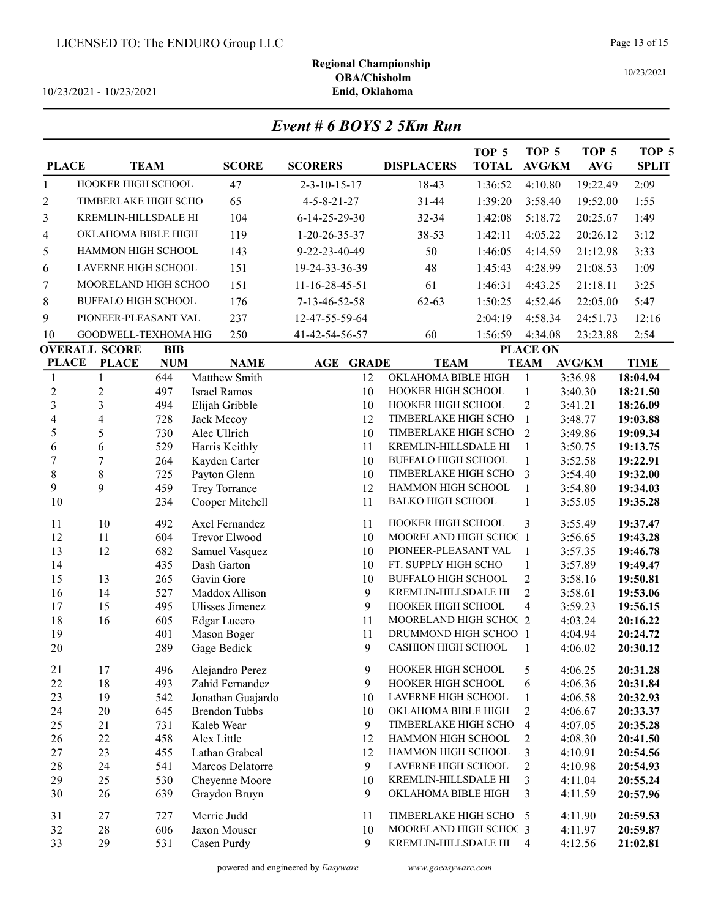$10/23/2021 - 10/23/2021$ 

| Event # 6 BOYS 2 5Km Run |
|--------------------------|
|--------------------------|

| <b>PLACE</b>            |                                      | <b>TEAM</b>              | <b>SCORE</b>                       | <b>SCORERS</b>          | <b>DISPLACERS</b>                            | TOP <sub>5</sub><br><b>TOTAL</b> | TOP <sub>5</sub><br><b>AVG/KM</b> | TOP <sub>5</sub><br>AVG | TOP <sub>5</sub><br><b>SPLIT</b> |
|-------------------------|--------------------------------------|--------------------------|------------------------------------|-------------------------|----------------------------------------------|----------------------------------|-----------------------------------|-------------------------|----------------------------------|
| $\mathbf{1}$            | HOOKER HIGH SCHOOL                   |                          | 47                                 | $2 - 3 - 10 - 15 - 17$  | 18-43                                        | 1:36:52                          | 4:10.80                           | 19:22.49                | 2:09                             |
| 2                       | TIMBERLAKE HIGH SCHO                 |                          | 65                                 | $4 - 5 - 8 - 21 - 27$   | 31-44                                        | 1:39:20                          | 3:58.40                           | 19:52.00                | 1:55                             |
| 3                       | KREMLIN-HILLSDALE HI                 |                          | 104                                | $6 - 14 - 25 - 29 - 30$ | 32-34                                        | 1:42:08                          | 5:18.72                           | 20:25.67                | 1:49                             |
| 4                       | OKLAHOMA BIBLE HIGH                  |                          | 119                                | 1-20-26-35-37           | 38-53                                        | 1:42:11                          | 4:05.22                           | 20:26.12                | 3:12                             |
| 5                       | HAMMON HIGH SCHOOL                   |                          | 143                                | 9-22-23-40-49           | 50                                           | 1:46:05                          | 4:14.59                           | 21:12.98                | 3:33                             |
| 6                       | LAVERNE HIGH SCHOOL                  |                          | 151                                | 19-24-33-36-39          | 48                                           | 1:45:43                          | 4:28.99                           | 21:08.53                | 1:09                             |
| 7                       | MOORELAND HIGH SCHOO                 |                          | 151                                | 11-16-28-45-51          | 61                                           | 1:46:31                          | 4:43.25                           | 21:18.11                | 3:25                             |
|                         | <b>BUFFALO HIGH SCHOOL</b>           |                          | 176                                |                         | $62 - 63$                                    |                                  |                                   |                         | 5:47                             |
| 8                       |                                      |                          |                                    | 7-13-46-52-58           |                                              | 1:50:25                          | 4:52.46                           | 22:05.00                |                                  |
| 9                       | PIONEER-PLEASANT VAL                 |                          | 237                                | 12-47-55-59-64          |                                              | 2:04:19                          | 4:58.34                           | 24:51.73                | 12:16                            |
| 10                      | GOODWELL-TEXHOMA HIG                 |                          | 250                                | 41-42-54-56-57          | 60                                           | 1:56:59                          | 4:34.08                           | 23:23.88                | 2:54                             |
| <b>PLACE</b>            | <b>OVERALL SCORE</b><br><b>PLACE</b> | <b>BIB</b><br><b>NUM</b> | <b>NAME</b>                        | AGE<br><b>GRADE</b>     | <b>TEAM</b>                                  |                                  | <b>PLACE ON</b><br><b>TEAM</b>    | <b>AVG/KM</b>           | <b>TIME</b>                      |
| 1                       | 1                                    | 644                      | Matthew Smith                      | 12                      | OKLAHOMA BIBLE HIGH                          |                                  | $\mathbf{1}$                      | 3:36.98                 | 18:04.94                         |
| $\overline{c}$          | $\overline{c}$                       | 497                      | <b>Israel Ramos</b>                | 10                      | HOOKER HIGH SCHOOL                           |                                  | $\mathbf{1}$                      | 3:40.30                 | 18:21.50                         |
| 3                       | 3                                    | 494                      | Elijah Gribble                     | 10                      | HOOKER HIGH SCHOOL                           |                                  | $\overline{2}$                    | 3:41.21                 | 18:26.09                         |
| $\overline{\mathbf{4}}$ | 4                                    | 728                      | Jack Mccoy                         | 12                      | TIMBERLAKE HIGH SCHO                         |                                  | $\mathbf{1}$                      | 3:48.77                 | 19:03.88                         |
| 5                       | 5                                    | 730                      | Alec Ullrich                       | 10                      | TIMBERLAKE HIGH SCHO                         |                                  | $\overline{2}$                    | 3:49.86                 | 19:09.34                         |
| 6                       | 6                                    | 529                      | Harris Keithly                     | 11                      | KREMLIN-HILLSDALE HI                         |                                  | 1                                 | 3:50.75                 | 19:13.75                         |
| $\sqrt{ }$              | $\overline{7}$                       | 264                      | Kayden Carter                      | 10                      | <b>BUFFALO HIGH SCHOOL</b>                   |                                  | $\mathbf{1}$                      | 3:52.58                 | 19:22.91                         |
| $\,$ 8 $\,$<br>9        | 8<br>9                               | 725                      | Payton Glenn                       | 10                      | TIMBERLAKE HIGH SCHO<br>HAMMON HIGH SCHOOL   |                                  | 3                                 | 3:54.40                 | 19:32.00                         |
| 10                      |                                      | 459<br>234               | Trey Torrance<br>Cooper Mitchell   | 12<br>11                | <b>BALKO HIGH SCHOOL</b>                     |                                  | 1<br>1                            | 3:54.80<br>3:55.05      | 19:34.03<br>19:35.28             |
|                         |                                      |                          |                                    |                         |                                              |                                  |                                   |                         |                                  |
| 11                      | 10                                   | 492                      | Axel Fernandez                     | 11                      | HOOKER HIGH SCHOOL                           |                                  | 3                                 | 3:55.49                 | 19:37.47                         |
| 12                      | 11                                   | 604                      | Trevor Elwood                      | 10                      | MOORELAND HIGH SCHOC 1                       |                                  |                                   | 3:56.65                 | 19:43.28                         |
| 13                      | 12                                   | 682                      | Samuel Vasquez                     | 10                      | PIONEER-PLEASANT VAL<br>FT. SUPPLY HIGH SCHO |                                  | 1                                 | 3:57.35                 | 19:46.78                         |
| 14<br>15                | 13                                   | 435<br>265               | Dash Garton<br>Gavin Gore          | 10<br>10                | <b>BUFFALO HIGH SCHOOL</b>                   |                                  | $\mathbf{1}$<br>$\overline{2}$    | 3:57.89<br>3:58.16      | 19:49.47<br>19:50.81             |
| 16                      | 14                                   | 527                      | Maddox Allison                     | 9                       | KREMLIN-HILLSDALE HI                         |                                  | $\overline{2}$                    | 3:58.61                 | 19:53.06                         |
| 17                      | 15                                   | 495                      | Ulisses Jimenez                    | 9                       | HOOKER HIGH SCHOOL                           |                                  | $\overline{4}$                    | 3:59.23                 | 19:56.15                         |
| 18                      | 16                                   | 605                      | Edgar Lucero                       | 11                      | MOORELAND HIGH SCHOC 2                       |                                  |                                   | 4:03.24                 | 20:16.22                         |
| 19                      |                                      | 401                      | Mason Boger                        | 11                      | DRUMMOND HIGH SCHOO 1                        |                                  |                                   | 4:04.94                 | 20:24.72                         |
| 20                      |                                      | 289                      | Gage Bedick                        | 9                       | <b>CASHION HIGH SCHOOL</b>                   |                                  | 1                                 | 4:06.02                 | 20:30.12                         |
| 21                      | 17                                   | 496                      | Alejandro Perez                    | 9                       | HOOKER HIGH SCHOOL                           |                                  | 5                                 | 4:06.25                 | 20:31.28                         |
| 22                      | 18                                   | 493                      | Zahid Fernandez                    | 9                       | HOOKER HIGH SCHOOL                           |                                  | 6                                 | 4:06.36                 | 20:31.84                         |
| 23                      | 19                                   | 542                      | Jonathan Guajardo                  | 10                      | LAVERNE HIGH SCHOOL                          |                                  | 1                                 | 4:06.58                 | 20:32.93                         |
| 24                      | 20                                   | 645                      | <b>Brendon Tubbs</b>               | 10                      | OKLAHOMA BIBLE HIGH                          |                                  | $\overline{2}$                    | 4:06.67                 | 20:33.37                         |
| 25                      | 21                                   | 731                      | Kaleb Wear                         | 9                       | TIMBERLAKE HIGH SCHO                         |                                  | $\overline{4}$                    | 4:07.05                 | 20:35.28                         |
| 26                      | 22                                   | 458                      | Alex Little                        | 12                      | HAMMON HIGH SCHOOL                           |                                  | 2                                 | 4:08.30                 | 20:41.50                         |
| 27                      | 23                                   | 455                      | Lathan Grabeal<br>Marcos Delatorre | 12                      | HAMMON HIGH SCHOOL<br>LAVERNE HIGH SCHOOL    |                                  | 3<br>$\overline{2}$               | 4:10.91                 | 20:54.56                         |
| 28<br>29                | 24<br>25                             | 541<br>530               | Cheyenne Moore                     | 9<br>10                 | KREMLIN-HILLSDALE HI                         |                                  | 3                                 | 4:10.98<br>4:11.04      | 20:54.93<br>20:55.24             |
| 30                      | 26                                   | 639                      | Graydon Bruyn                      | 9                       | OKLAHOMA BIBLE HIGH                          |                                  | 3                                 | 4:11.59                 | 20:57.96                         |
|                         |                                      |                          |                                    |                         |                                              |                                  |                                   |                         |                                  |
| 31                      | 27                                   | 727                      | Merric Judd                        | 11                      | TIMBERLAKE HIGH SCHO                         |                                  | - 5                               | 4:11.90                 | 20:59.53                         |
| 32<br>33                | 28                                   | 606                      | Jaxon Mouser                       | 10                      | MOORELAND HIGH SCHOC 3                       |                                  |                                   | 4:11.97                 | 20:59.87                         |
|                         | 29                                   | 531                      | Casen Purdy                        | 9                       | KREMLIN-HILLSDALE HI                         |                                  | 4                                 | 4:12.56                 | 21:02.81                         |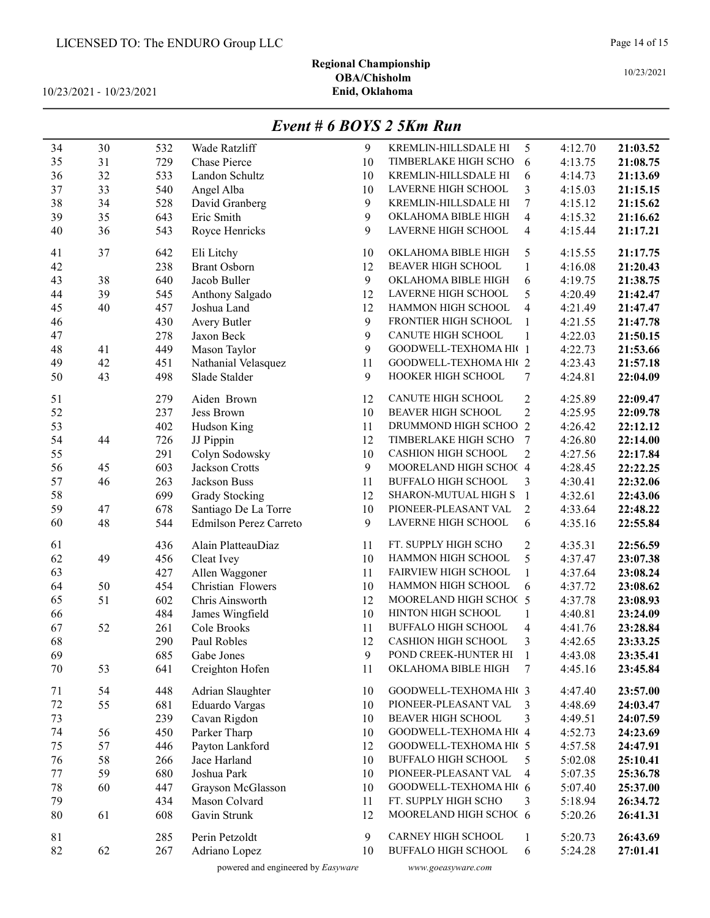# Regional Championship OBA/Chisholm<br>Enid, Oklahoma

10/23/2021 - 10/23/2021

# Event # 6 BOYS 2 5Km Run

| 34     | 30 | 532 | Wade Ratzliff                 | 9            | KREMLIN-HILLSDALE HI       | 5                        | 4:12.70 | 21:03.52 |
|--------|----|-----|-------------------------------|--------------|----------------------------|--------------------------|---------|----------|
| 35     | 31 | 729 | <b>Chase Pierce</b>           | 10           | TIMBERLAKE HIGH SCHO       | 6                        | 4:13.75 | 21:08.75 |
| 36     | 32 | 533 | Landon Schultz                | 10           | KREMLIN-HILLSDALE HI       | 6                        | 4:14.73 | 21:13.69 |
| 37     | 33 | 540 | Angel Alba                    | 10           | LAVERNE HIGH SCHOOL        | $\overline{\mathbf{3}}$  | 4:15.03 | 21:15.15 |
| 38     | 34 | 528 | David Granberg                | 9            | KREMLIN-HILLSDALE HI       | 7                        | 4:15.12 | 21:15.62 |
| 39     | 35 | 643 | Eric Smith                    | 9            | OKLAHOMA BIBLE HIGH        | $\overline{4}$           | 4:15.32 | 21:16.62 |
| 40     | 36 | 543 | Royce Henricks                | 9            | LAVERNE HIGH SCHOOL        | $\overline{4}$           | 4:15.44 | 21:17.21 |
|        |    |     |                               |              |                            |                          |         |          |
| 41     | 37 | 642 | Eli Litchy                    | 10           | OKLAHOMA BIBLE HIGH        | 5                        | 4:15.55 | 21:17.75 |
| 42     |    | 238 | <b>Brant Osborn</b>           | 12           | <b>BEAVER HIGH SCHOOL</b>  | 1                        | 4:16.08 | 21:20.43 |
| 43     | 38 | 640 | Jacob Buller                  | 9            | OKLAHOMA BIBLE HIGH        | 6                        | 4:19.75 | 21:38.75 |
| 44     | 39 | 545 | Anthony Salgado               | 12           | LAVERNE HIGH SCHOOL        | 5                        | 4:20.49 | 21:42.47 |
| 45     | 40 | 457 | Joshua Land                   | 12           | HAMMON HIGH SCHOOL         | $\overline{\mathcal{A}}$ | 4:21.49 | 21:47.47 |
| 46     |    | 430 | Avery Butler                  | 9            | FRONTIER HIGH SCHOOL       | $\mathbf{1}$             | 4:21.55 | 21:47.78 |
| 47     |    | 278 | Jaxon Beck                    | 9            | CANUTE HIGH SCHOOL         | $\mathbf{1}$             | 4:22.03 | 21:50.15 |
| 48     | 41 | 449 | Mason Taylor                  | 9            | GOODWELL-TEXHOMA HI(1      |                          | 4:22.73 | 21:53.66 |
| 49     | 42 | 451 | Nathanial Velasquez           | 11           | GOODWELL-TEXHOMA HI(2      |                          | 4:23.43 | 21:57.18 |
| 50     | 43 | 498 | Slade Stalder                 | 9            | HOOKER HIGH SCHOOL         | 7                        | 4:24.81 | 22:04.09 |
| 51     |    | 279 | Aiden Brown                   | 12           | CANUTE HIGH SCHOOL         | $\overline{c}$           | 4:25.89 | 22:09.47 |
| 52     |    | 237 | Jess Brown                    | 10           | <b>BEAVER HIGH SCHOOL</b>  | $\overline{2}$           | 4:25.95 | 22:09.78 |
| 53     |    | 402 | Hudson King                   | 11           | DRUMMOND HIGH SCHOO 2      |                          | 4:26.42 | 22:12.12 |
| 54     | 44 | 726 | JJ Pippin                     | 12           | TIMBERLAKE HIGH SCHO       | $7\phantom{.0}$          | 4:26.80 | 22:14.00 |
| 55     |    | 291 | Colyn Sodowsky                | $10\,$       | <b>CASHION HIGH SCHOOL</b> | $\overline{2}$           | 4:27.56 | 22:17.84 |
| 56     | 45 | 603 | <b>Jackson Crotts</b>         | 9            | MOORELAND HIGH SCHOC 4     |                          | 4:28.45 | 22:22.25 |
| 57     | 46 | 263 | Jackson Buss                  | 11           | <b>BUFFALO HIGH SCHOOL</b> | 3                        | 4:30.41 | 22:32.06 |
| 58     |    | 699 | <b>Grady Stocking</b>         | 12           | SHARON-MUTUAL HIGH S       | $\mathbf{1}$             | 4:32.61 | 22:43.06 |
| 59     | 47 | 678 | Santiago De La Torre          | 10           | PIONEER-PLEASANT VAL       | $\overline{2}$           | 4:33.64 | 22:48.22 |
| 60     | 48 | 544 | <b>Edmilson Perez Carreto</b> | 9            | LAVERNE HIGH SCHOOL        | 6                        | 4:35.16 | 22:55.84 |
|        |    |     |                               |              |                            |                          |         |          |
| 61     |    | 436 | Alain PlatteauDiaz            | 11           | FT. SUPPLY HIGH SCHO       | 2                        | 4:35.31 | 22:56.59 |
| 62     | 49 | 456 | Cleat Ivey                    | 10           | HAMMON HIGH SCHOOL         | 5                        | 4:37.47 | 23:07.38 |
| 63     |    | 427 | Allen Waggoner                | 11           | FAIRVIEW HIGH SCHOOL       | 1                        | 4:37.64 | 23:08.24 |
| 64     | 50 | 454 | Christian Flowers             | 10           | HAMMON HIGH SCHOOL         | 6                        | 4:37.72 | 23:08.62 |
| 65     | 51 | 602 | Chris Ainsworth               | 12           | MOORELAND HIGH SCHOC 5     |                          | 4:37.78 | 23:08.93 |
| 66     |    | 484 | James Wingfield               | 10           | HINTON HIGH SCHOOL         | 1                        | 4:40.81 | 23:24.09 |
| 67     | 52 | 261 | Cole Brooks                   | 11           | <b>BUFFALO HIGH SCHOOL</b> | 4                        | 4:41.76 | 23:28.84 |
| 68     |    | 290 | Paul Robles                   | 12           | <b>CASHION HIGH SCHOOL</b> | 3                        | 4:42.65 | 23:33.25 |
| 69     |    | 685 | Gabe Jones                    | $\mathbf{9}$ | POND CREEK-HUNTER HI       | $\mathbf{1}$             | 4:43.08 | 23:35.41 |
| 70     | 53 | 641 | Creighton Hofen               | 11           | OKLAHOMA BIBLE HIGH        | 7                        | 4:45.16 | 23:45.84 |
| 71     | 54 | 448 | Adrian Slaughter              | 10           | GOODWELL-TEXHOMA HI( 3     |                          | 4:47.40 | 23:57.00 |
| $72\,$ | 55 | 681 | Eduardo Vargas                | 10           | PIONEER-PLEASANT VAL       | 3                        | 4:48.69 | 24:03.47 |
| 73     |    | 239 | Cavan Rigdon                  | 10           | <b>BEAVER HIGH SCHOOL</b>  | 3                        | 4:49.51 | 24:07.59 |
| 74     | 56 | 450 | Parker Tharp                  | 10           | GOODWELL-TEXHOMA HI( 4     |                          | 4:52.73 | 24:23.69 |
| 75     | 57 | 446 | Payton Lankford               | 12           | GOODWELL-TEXHOMA HI( 5     |                          | 4:57.58 | 24:47.91 |
| 76     | 58 | 266 | Jace Harland                  | 10           | <b>BUFFALO HIGH SCHOOL</b> | 5                        | 5:02.08 | 25:10.41 |
| 77     | 59 | 680 | Joshua Park                   | 10           | PIONEER-PLEASANT VAL       | 4                        | 5:07.35 | 25:36.78 |
| 78     | 60 | 447 | Grayson McGlasson             | 10           | GOODWELL-TEXHOMA HI( 6     |                          | 5:07.40 | 25:37.00 |
| 79     |    | 434 | Mason Colvard                 | 11           | FT. SUPPLY HIGH SCHO       | 3                        | 5:18.94 | 26:34.72 |
| $80\,$ | 61 | 608 | Gavin Strunk                  | 12           | MOORELAND HIGH SCHOC 6     |                          | 5:20.26 | 26:41.31 |
|        |    |     |                               |              |                            |                          |         |          |
| 81     |    | 285 | Perin Petzoldt                | 9            | CARNEY HIGH SCHOOL         | 1                        | 5:20.73 | 26:43.69 |
| 82     | 62 | 267 | Adriano Lopez                 | 10           | <b>BUFFALO HIGH SCHOOL</b> | 6                        | 5:24.28 | 27:01.41 |
|        |    |     |                               |              |                            |                          |         |          |